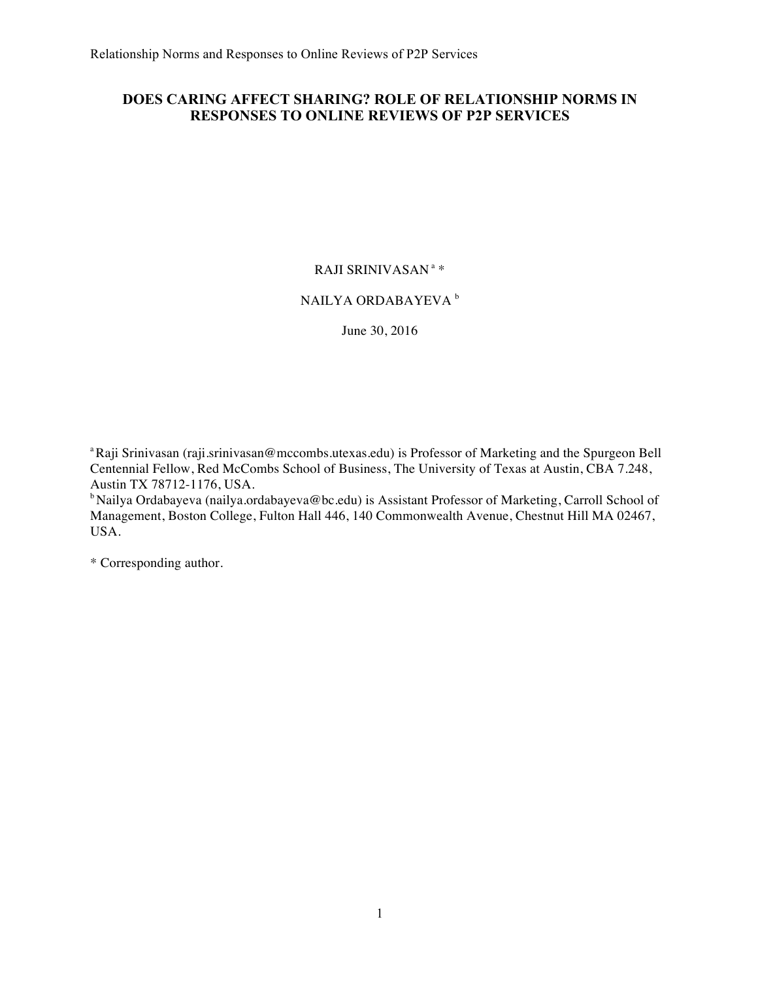# **DOES CARING AFFECT SHARING? ROLE OF RELATIONSHIP NORMS IN RESPONSES TO ONLINE REVIEWS OF P2P SERVICES**

# RAJI SRINIVASAN <sup>a</sup> \*

# NAILYA ORDABAYEVA<sup>b</sup>

June 30, 2016

<sup>a</sup>Raji Srinivasan (raji.srinivasan@mccombs.utexas.edu) is Professor of Marketing and the Spurgeon Bell Centennial Fellow, Red McCombs School of Business, The University of Texas at Austin, CBA 7.248, Austin TX 78712-1176, USA.

<sup>b</sup> Nailya Ordabayeva (nailya.ordabayeva@bc.edu) is Assistant Professor of Marketing, Carroll School of Management, Boston College, Fulton Hall 446, 140 Commonwealth Avenue, Chestnut Hill MA 02467, USA.

\* Corresponding author.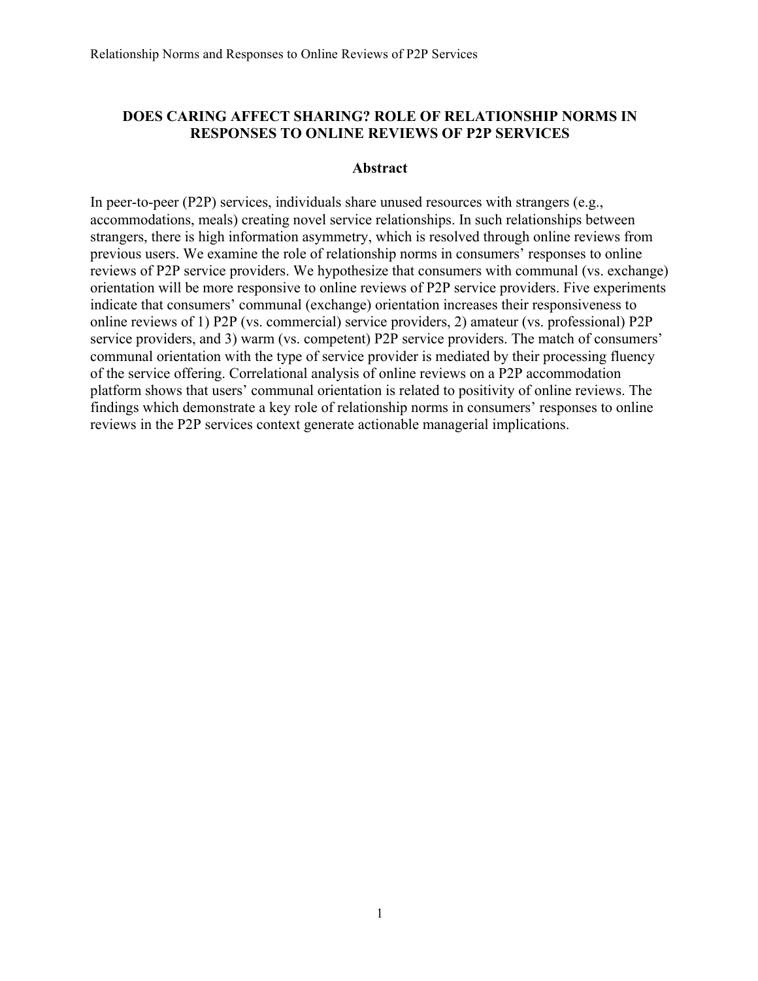# **DOES CARING AFFECT SHARING? ROLE OF RELATIONSHIP NORMS IN RESPONSES TO ONLINE REVIEWS OF P2P SERVICES**

#### **Abstract**

In peer-to-peer (P2P) services, individuals share unused resources with strangers (e.g., accommodations, meals) creating novel service relationships. In such relationships between strangers, there is high information asymmetry, which is resolved through online reviews from previous users. We examine the role of relationship norms in consumers' responses to online reviews of P2P service providers. We hypothesize that consumers with communal (vs. exchange) orientation will be more responsive to online reviews of P2P service providers. Five experiments indicate that consumers' communal (exchange) orientation increases their responsiveness to online reviews of 1) P2P (vs. commercial) service providers, 2) amateur (vs. professional) P2P service providers, and 3) warm (vs. competent) P2P service providers. The match of consumers' communal orientation with the type of service provider is mediated by their processing fluency of the service offering. Correlational analysis of online reviews on a P2P accommodation platform shows that users' communal orientation is related to positivity of online reviews. The findings which demonstrate a key role of relationship norms in consumers' responses to online reviews in the P2P services context generate actionable managerial implications.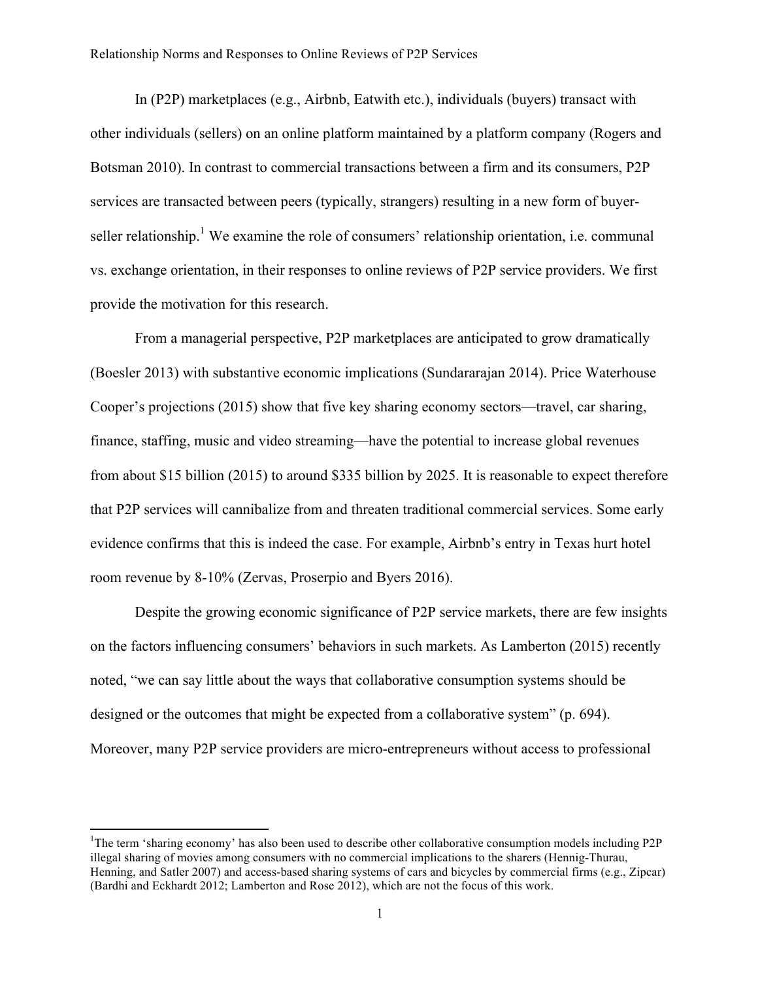In (P2P) marketplaces (e.g., Airbnb, Eatwith etc.), individuals (buyers) transact with other individuals (sellers) on an online platform maintained by a platform company (Rogers and Botsman 2010). In contrast to commercial transactions between a firm and its consumers, P2P services are transacted between peers (typically, strangers) resulting in a new form of buyerseller relationship.<sup>1</sup> We examine the role of consumers' relationship orientation, i.e. communal vs. exchange orientation, in their responses to online reviews of P2P service providers. We first provide the motivation for this research.

From a managerial perspective, P2P marketplaces are anticipated to grow dramatically (Boesler 2013) with substantive economic implications (Sundararajan 2014). Price Waterhouse Cooper's projections (2015) show that five key sharing economy sectors—travel, car sharing, finance, staffing, music and video streaming—have the potential to increase global revenues from about \$15 billion (2015) to around \$335 billion by 2025. It is reasonable to expect therefore that P2P services will cannibalize from and threaten traditional commercial services. Some early evidence confirms that this is indeed the case. For example, Airbnb's entry in Texas hurt hotel room revenue by 8-10% (Zervas, Proserpio and Byers 2016).

Despite the growing economic significance of P2P service markets, there are few insights on the factors influencing consumers' behaviors in such markets. As Lamberton (2015) recently noted, "we can say little about the ways that collaborative consumption systems should be designed or the outcomes that might be expected from a collaborative system" (p. 694). Moreover, many P2P service providers are micro-entrepreneurs without access to professional

!!!!!!!!!!!!!!!!!!!!!!!!!!!!!!!!!!!!!!!!!!!!!!!!!!!!!!!!!!!!

<sup>&</sup>lt;sup>1</sup>The term 'sharing economy' has also been used to describe other collaborative consumption models including P2P illegal sharing of movies among consumers with no commercial implications to the sharers (Hennig-Thurau, Henning, and Satler 2007) and access-based sharing systems of cars and bicycles by commercial firms (e.g., Zipcar) (Bardhi and Eckhardt 2012; Lamberton and Rose 2012), which are not the focus of this work.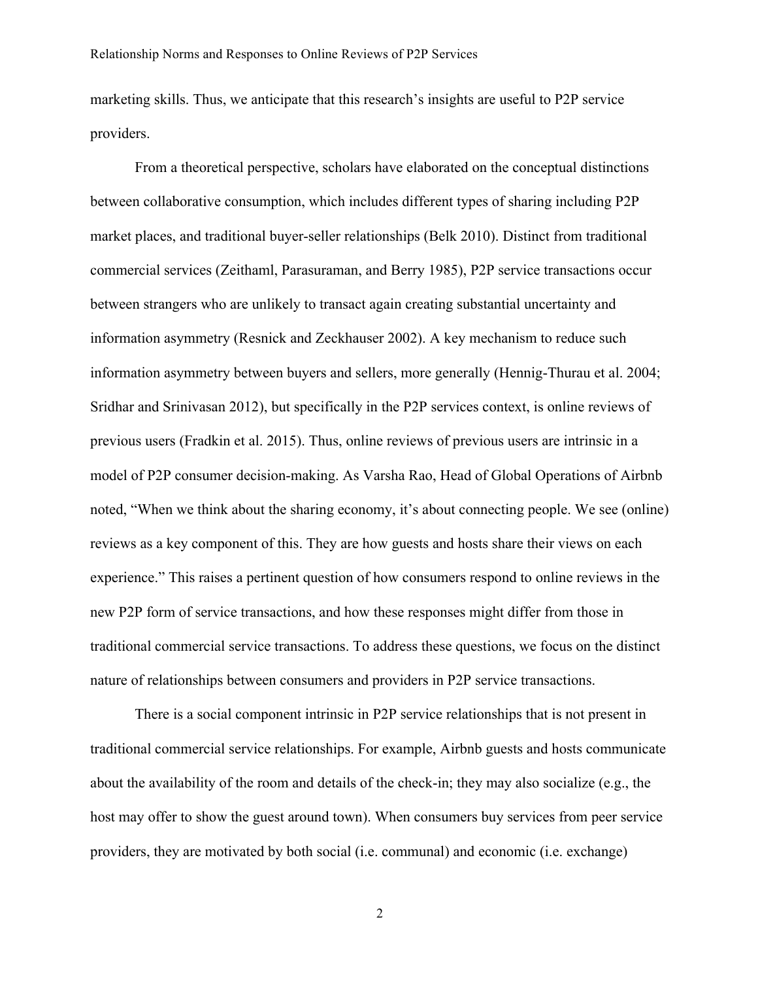marketing skills. Thus, we anticipate that this research's insights are useful to P2P service providers.

From a theoretical perspective, scholars have elaborated on the conceptual distinctions between collaborative consumption, which includes different types of sharing including P2P market places, and traditional buyer-seller relationships (Belk 2010). Distinct from traditional commercial services (Zeithaml, Parasuraman, and Berry 1985), P2P service transactions occur between strangers who are unlikely to transact again creating substantial uncertainty and information asymmetry (Resnick and Zeckhauser 2002). A key mechanism to reduce such information asymmetry between buyers and sellers, more generally (Hennig-Thurau et al. 2004; Sridhar and Srinivasan 2012), but specifically in the P2P services context, is online reviews of previous users (Fradkin et al. 2015). Thus, online reviews of previous users are intrinsic in a model of P2P consumer decision-making. As Varsha Rao, Head of Global Operations of Airbnb noted, "When we think about the sharing economy, it's about connecting people. We see (online) reviews as a key component of this. They are how guests and hosts share their views on each experience." This raises a pertinent question of how consumers respond to online reviews in the new P2P form of service transactions, and how these responses might differ from those in traditional commercial service transactions. To address these questions, we focus on the distinct nature of relationships between consumers and providers in P2P service transactions.

There is a social component intrinsic in P2P service relationships that is not present in traditional commercial service relationships. For example, Airbnb guests and hosts communicate about the availability of the room and details of the check-in; they may also socialize (e.g., the host may offer to show the guest around town). When consumers buy services from peer service providers, they are motivated by both social (i.e. communal) and economic (i.e. exchange)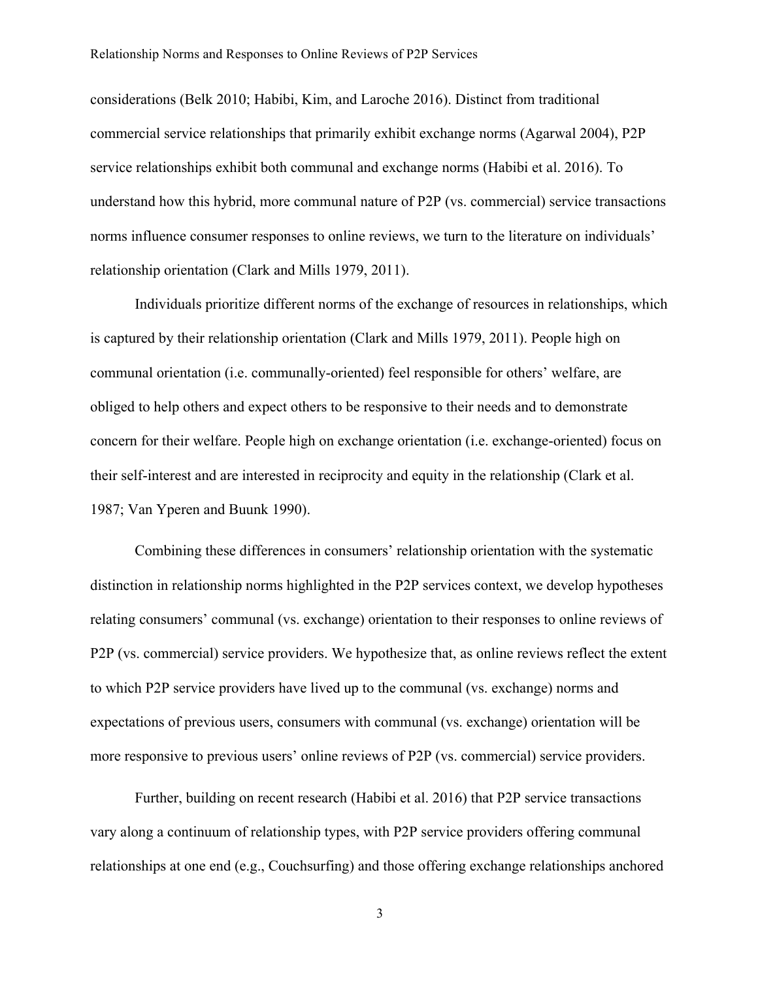considerations (Belk 2010; Habibi, Kim, and Laroche 2016). Distinct from traditional commercial service relationships that primarily exhibit exchange norms (Agarwal 2004), P2P service relationships exhibit both communal and exchange norms (Habibi et al. 2016). To understand how this hybrid, more communal nature of P2P (vs. commercial) service transactions norms influence consumer responses to online reviews, we turn to the literature on individuals' relationship orientation (Clark and Mills 1979, 2011).

Individuals prioritize different norms of the exchange of resources in relationships, which is captured by their relationship orientation (Clark and Mills 1979, 2011). People high on communal orientation (i.e. communally-oriented) feel responsible for others' welfare, are obliged to help others and expect others to be responsive to their needs and to demonstrate concern for their welfare. People high on exchange orientation (i.e. exchange-oriented) focus on their self-interest and are interested in reciprocity and equity in the relationship (Clark et al. 1987; Van Yperen and Buunk 1990).

Combining these differences in consumers' relationship orientation with the systematic distinction in relationship norms highlighted in the P2P services context, we develop hypotheses relating consumers' communal (vs. exchange) orientation to their responses to online reviews of P2P (vs. commercial) service providers. We hypothesize that, as online reviews reflect the extent to which P2P service providers have lived up to the communal (vs. exchange) norms and expectations of previous users, consumers with communal (vs. exchange) orientation will be more responsive to previous users' online reviews of P2P (vs. commercial) service providers.

Further, building on recent research (Habibi et al. 2016) that P2P service transactions vary along a continuum of relationship types, with P2P service providers offering communal relationships at one end (e.g., Couchsurfing) and those offering exchange relationships anchored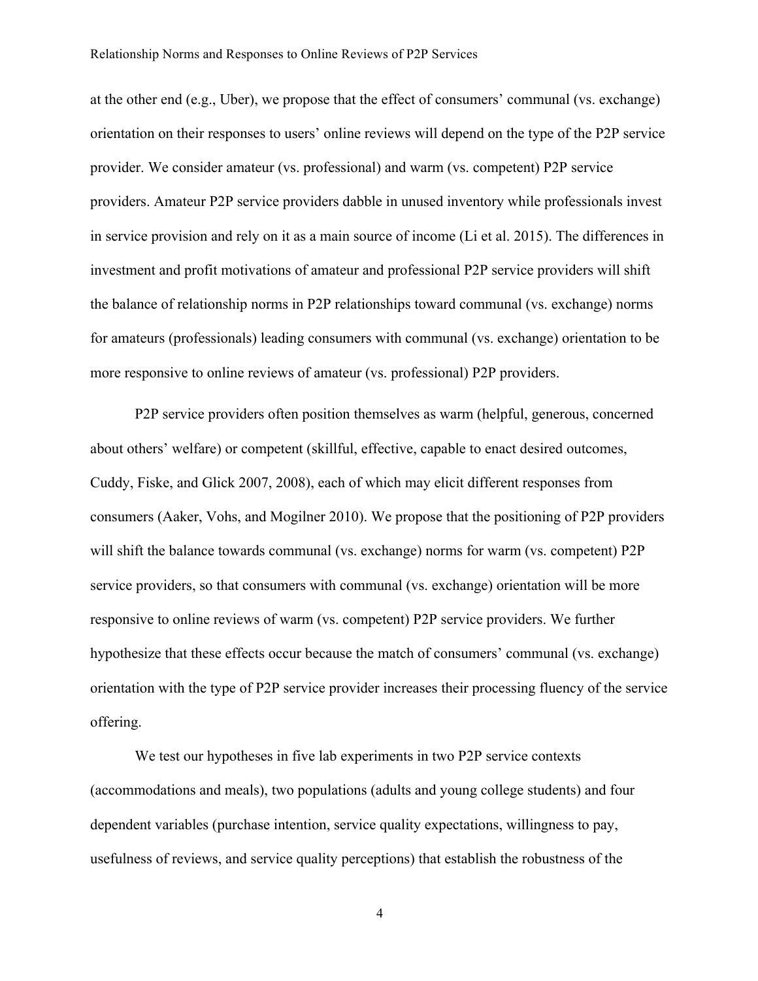at the other end (e.g., Uber), we propose that the effect of consumers' communal (vs. exchange) orientation on their responses to users' online reviews will depend on the type of the P2P service provider. We consider amateur (vs. professional) and warm (vs. competent) P2P service providers. Amateur P2P service providers dabble in unused inventory while professionals invest in service provision and rely on it as a main source of income (Li et al. 2015). The differences in investment and profit motivations of amateur and professional P2P service providers will shift the balance of relationship norms in P2P relationships toward communal (vs. exchange) norms for amateurs (professionals) leading consumers with communal (vs. exchange) orientation to be more responsive to online reviews of amateur (vs. professional) P2P providers.

P2P service providers often position themselves as warm (helpful, generous, concerned about others' welfare) or competent (skillful, effective, capable to enact desired outcomes, Cuddy, Fiske, and Glick 2007, 2008), each of which may elicit different responses from consumers (Aaker, Vohs, and Mogilner 2010). We propose that the positioning of P2P providers will shift the balance towards communal (vs. exchange) norms for warm (vs. competent) P2P service providers, so that consumers with communal (vs. exchange) orientation will be more responsive to online reviews of warm (vs. competent) P2P service providers. We further hypothesize that these effects occur because the match of consumers' communal (vs. exchange) orientation with the type of P2P service provider increases their processing fluency of the service offering.

We test our hypotheses in five lab experiments in two P2P service contexts (accommodations and meals), two populations (adults and young college students) and four dependent variables (purchase intention, service quality expectations, willingness to pay, usefulness of reviews, and service quality perceptions) that establish the robustness of the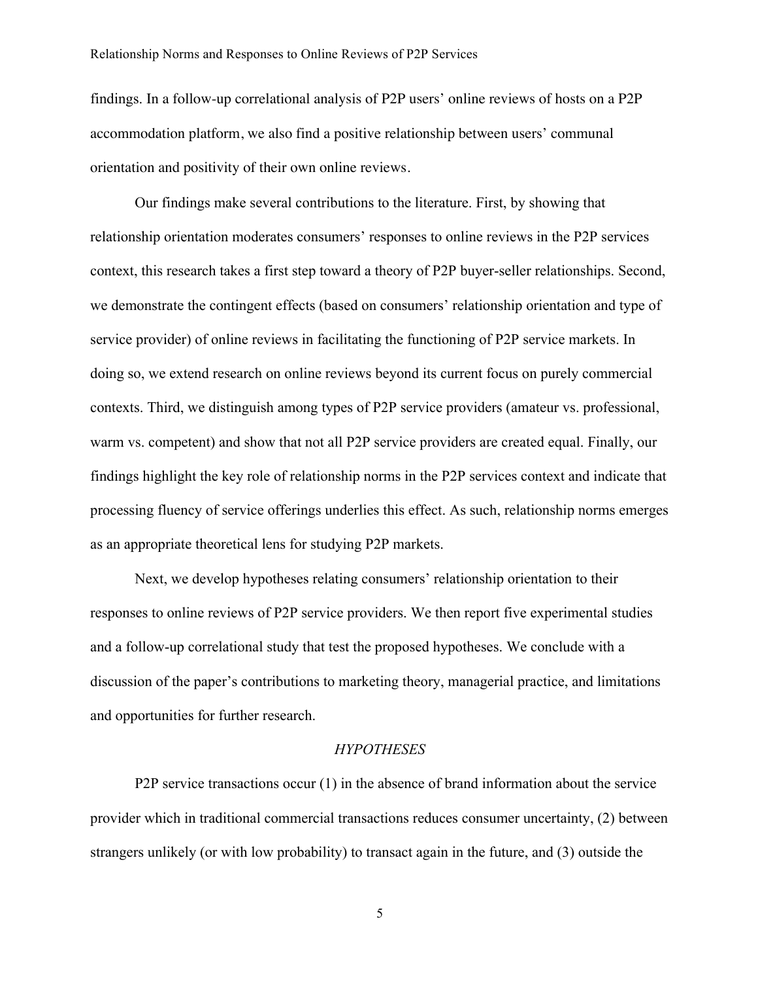findings. In a follow-up correlational analysis of P2P users' online reviews of hosts on a P2P accommodation platform, we also find a positive relationship between users' communal orientation and positivity of their own online reviews.

Our findings make several contributions to the literature. First, by showing that relationship orientation moderates consumers' responses to online reviews in the P2P services context, this research takes a first step toward a theory of P2P buyer-seller relationships. Second, we demonstrate the contingent effects (based on consumers' relationship orientation and type of service provider) of online reviews in facilitating the functioning of P2P service markets. In doing so, we extend research on online reviews beyond its current focus on purely commercial contexts. Third, we distinguish among types of P2P service providers (amateur vs. professional, warm vs. competent) and show that not all P2P service providers are created equal. Finally, our findings highlight the key role of relationship norms in the P2P services context and indicate that processing fluency of service offerings underlies this effect. As such, relationship norms emerges as an appropriate theoretical lens for studying P2P markets.

Next, we develop hypotheses relating consumers' relationship orientation to their responses to online reviews of P2P service providers. We then report five experimental studies and a follow-up correlational study that test the proposed hypotheses. We conclude with a discussion of the paper's contributions to marketing theory, managerial practice, and limitations and opportunities for further research.

#### *HYPOTHESES*

P2P service transactions occur (1) in the absence of brand information about the service provider which in traditional commercial transactions reduces consumer uncertainty, (2) between strangers unlikely (or with low probability) to transact again in the future, and (3) outside the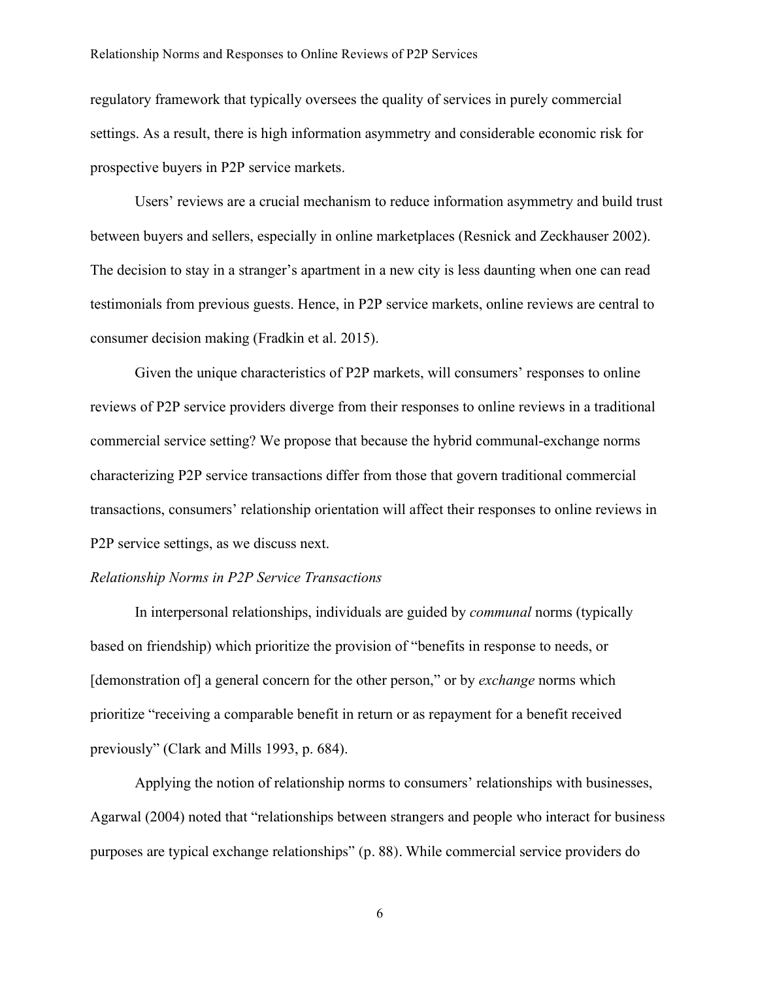regulatory framework that typically oversees the quality of services in purely commercial settings. As a result, there is high information asymmetry and considerable economic risk for prospective buyers in P2P service markets.

Users' reviews are a crucial mechanism to reduce information asymmetry and build trust between buyers and sellers, especially in online marketplaces (Resnick and Zeckhauser 2002). The decision to stay in a stranger's apartment in a new city is less daunting when one can read testimonials from previous guests. Hence, in P2P service markets, online reviews are central to consumer decision making (Fradkin et al. 2015).

Given the unique characteristics of P2P markets, will consumers' responses to online reviews of P2P service providers diverge from their responses to online reviews in a traditional commercial service setting? We propose that because the hybrid communal-exchange norms characterizing P2P service transactions differ from those that govern traditional commercial transactions, consumers' relationship orientation will affect their responses to online reviews in P2P service settings, as we discuss next.

#### *Relationship Norms in P2P Service Transactions*

In interpersonal relationships, individuals are guided by *communal* norms (typically based on friendship) which prioritize the provision of "benefits in response to needs, or [demonstration of] a general concern for the other person," or by *exchange* norms which prioritize "receiving a comparable benefit in return or as repayment for a benefit received previously" (Clark and Mills 1993, p. 684).

Applying the notion of relationship norms to consumers' relationships with businesses, Agarwal (2004) noted that "relationships between strangers and people who interact for business purposes are typical exchange relationships" (p. 88). While commercial service providers do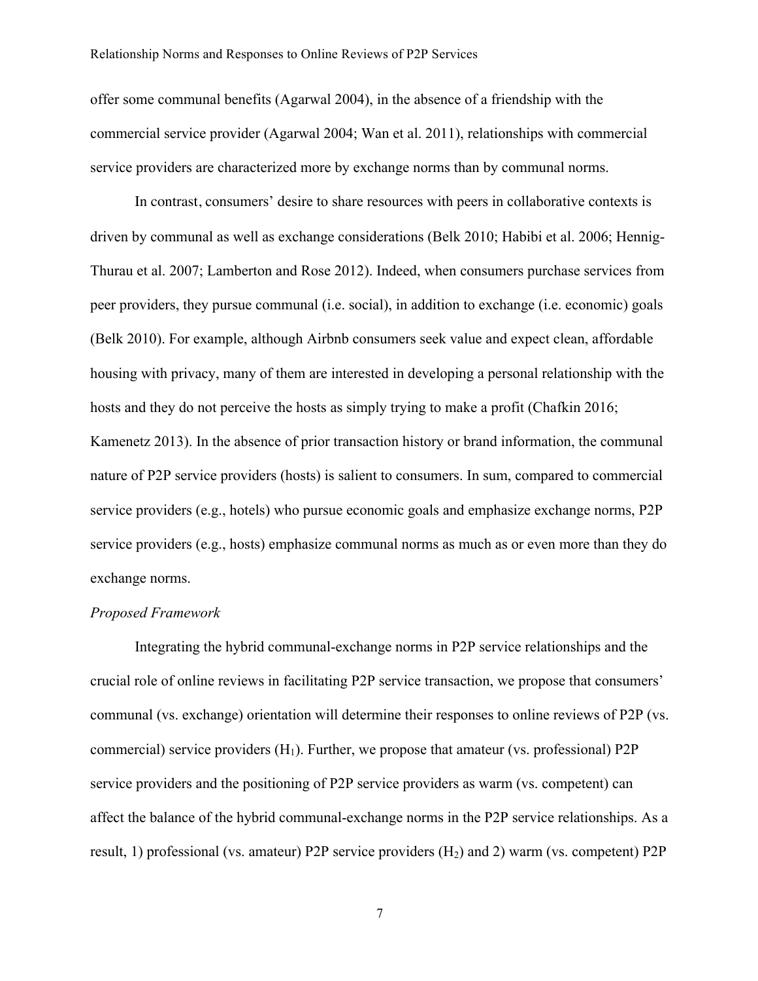offer some communal benefits (Agarwal 2004), in the absence of a friendship with the commercial service provider (Agarwal 2004; Wan et al. 2011), relationships with commercial service providers are characterized more by exchange norms than by communal norms.

In contrast, consumers' desire to share resources with peers in collaborative contexts is driven by communal as well as exchange considerations (Belk 2010; Habibi et al. 2006; Hennig-Thurau et al. 2007; Lamberton and Rose 2012). Indeed, when consumers purchase services from peer providers, they pursue communal (i.e. social), in addition to exchange (i.e. economic) goals (Belk 2010). For example, although Airbnb consumers seek value and expect clean, affordable housing with privacy, many of them are interested in developing a personal relationship with the hosts and they do not perceive the hosts as simply trying to make a profit (Chafkin 2016; Kamenetz 2013). In the absence of prior transaction history or brand information, the communal nature of P2P service providers (hosts) is salient to consumers. In sum, compared to commercial service providers (e.g., hotels) who pursue economic goals and emphasize exchange norms, P2P service providers (e.g., hosts) emphasize communal norms as much as or even more than they do exchange norms.

## *Proposed Framework*

Integrating the hybrid communal-exchange norms in P2P service relationships and the crucial role of online reviews in facilitating P2P service transaction, we propose that consumers' communal (vs. exchange) orientation will determine their responses to online reviews of P2P (vs. commercial) service providers  $(H_1)$ . Further, we propose that amateur (vs. professional) P2P service providers and the positioning of P2P service providers as warm (vs. competent) can affect the balance of the hybrid communal-exchange norms in the P2P service relationships. As a result, 1) professional (vs. amateur) P2P service providers  $(H<sub>2</sub>)$  and 2) warm (vs. competent) P2P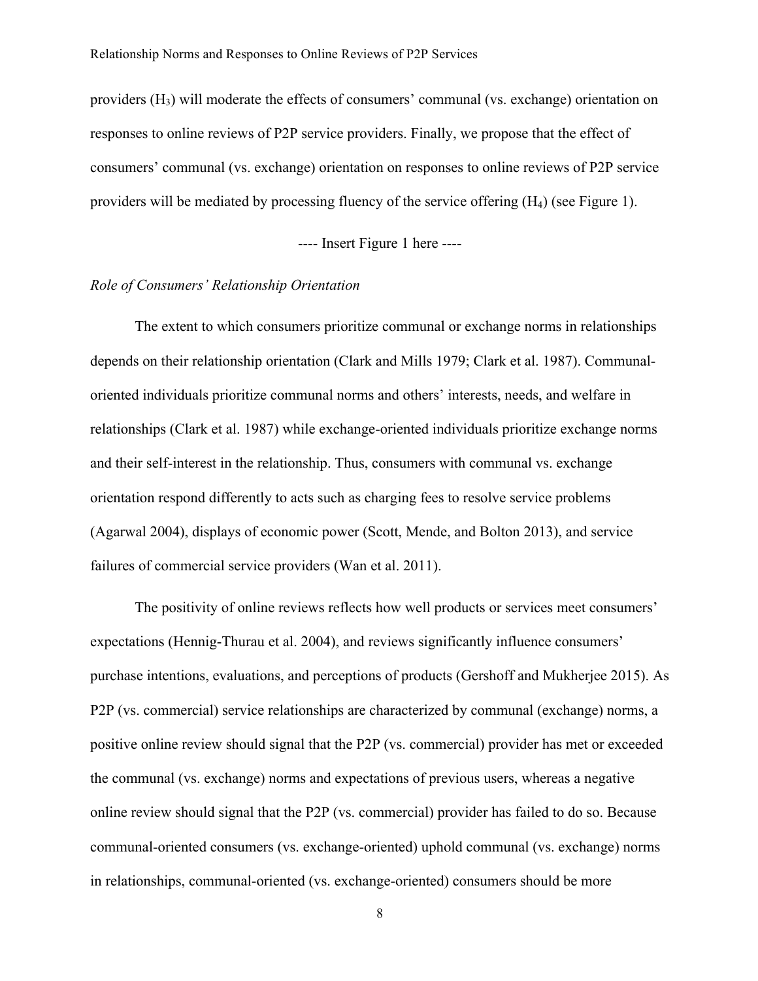providers (H3) will moderate the effects of consumers' communal (vs. exchange) orientation on responses to online reviews of P2P service providers. Finally, we propose that the effect of consumers' communal (vs. exchange) orientation on responses to online reviews of P2P service providers will be mediated by processing fluency of the service offering (H4) (see Figure 1).

# ---- Insert Figure 1 here ----

#### *Role of Consumers' Relationship Orientation*

The extent to which consumers prioritize communal or exchange norms in relationships depends on their relationship orientation (Clark and Mills 1979; Clark et al. 1987). Communaloriented individuals prioritize communal norms and others' interests, needs, and welfare in relationships (Clark et al. 1987) while exchange-oriented individuals prioritize exchange norms and their self-interest in the relationship. Thus, consumers with communal vs. exchange orientation respond differently to acts such as charging fees to resolve service problems (Agarwal 2004), displays of economic power (Scott, Mende, and Bolton 2013), and service failures of commercial service providers (Wan et al. 2011).

The positivity of online reviews reflects how well products or services meet consumers' expectations (Hennig-Thurau et al. 2004), and reviews significantly influence consumers' purchase intentions, evaluations, and perceptions of products (Gershoff and Mukherjee 2015). As P2P (vs. commercial) service relationships are characterized by communal (exchange) norms, a positive online review should signal that the P2P (vs. commercial) provider has met or exceeded the communal (vs. exchange) norms and expectations of previous users, whereas a negative online review should signal that the P2P (vs. commercial) provider has failed to do so. Because communal-oriented consumers (vs. exchange-oriented) uphold communal (vs. exchange) norms in relationships, communal-oriented (vs. exchange-oriented) consumers should be more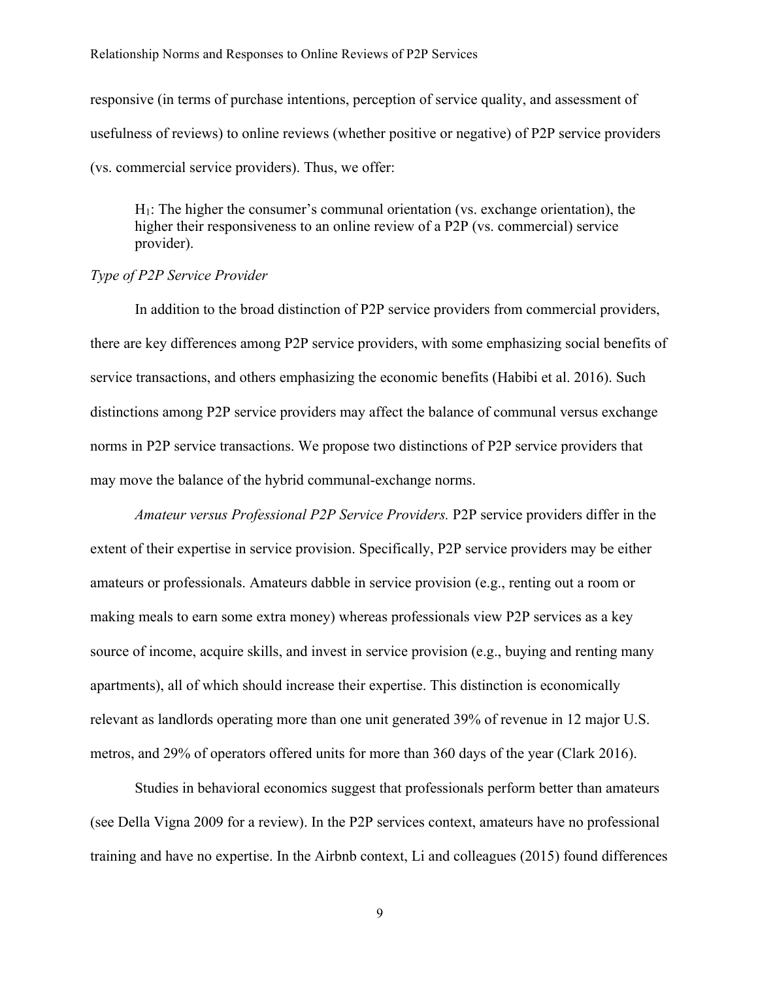responsive (in terms of purchase intentions, perception of service quality, and assessment of usefulness of reviews) to online reviews (whether positive or negative) of P2P service providers (vs. commercial service providers). Thus, we offer:

 $H<sub>1</sub>$ : The higher the consumer's communal orientation (vs. exchange orientation), the higher their responsiveness to an online review of a P2P (vs. commercial) service provider).

#### *Type of P2P Service Provider*

In addition to the broad distinction of P2P service providers from commercial providers, there are key differences among P2P service providers, with some emphasizing social benefits of service transactions, and others emphasizing the economic benefits (Habibi et al. 2016). Such distinctions among P2P service providers may affect the balance of communal versus exchange norms in P2P service transactions. We propose two distinctions of P2P service providers that may move the balance of the hybrid communal-exchange norms.

*Amateur versus Professional P2P Service Providers.* P2P service providers differ in the extent of their expertise in service provision. Specifically, P2P service providers may be either amateurs or professionals. Amateurs dabble in service provision (e.g., renting out a room or making meals to earn some extra money) whereas professionals view P2P services as a key source of income, acquire skills, and invest in service provision (e.g., buying and renting many apartments), all of which should increase their expertise. This distinction is economically relevant as landlords operating more than one unit generated 39% of revenue in 12 major U.S. metros, and 29% of operators offered units for more than 360 days of the year (Clark 2016).

Studies in behavioral economics suggest that professionals perform better than amateurs (see Della Vigna 2009 for a review). In the P2P services context, amateurs have no professional training and have no expertise. In the Airbnb context, Li and colleagues (2015) found differences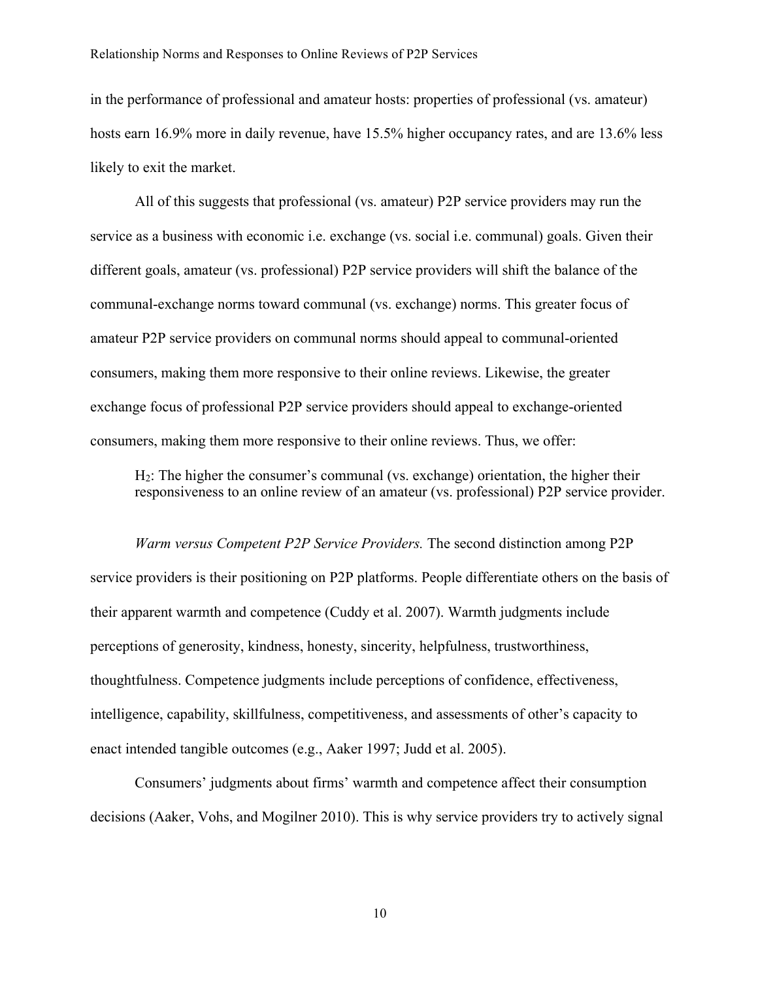in the performance of professional and amateur hosts: properties of professional (vs. amateur) hosts earn 16.9% more in daily revenue, have 15.5% higher occupancy rates, and are 13.6% less likely to exit the market.

All of this suggests that professional (vs. amateur) P2P service providers may run the service as a business with economic i.e. exchange (vs. social i.e. communal) goals. Given their different goals, amateur (vs. professional) P2P service providers will shift the balance of the communal-exchange norms toward communal (vs. exchange) norms. This greater focus of amateur P2P service providers on communal norms should appeal to communal-oriented consumers, making them more responsive to their online reviews. Likewise, the greater exchange focus of professional P2P service providers should appeal to exchange-oriented consumers, making them more responsive to their online reviews. Thus, we offer:

H2: The higher the consumer's communal (vs. exchange) orientation, the higher their responsiveness to an online review of an amateur (vs. professional) P2P service provider.

*Warm versus Competent P2P Service Providers.* The second distinction among P2P service providers is their positioning on P2P platforms. People differentiate others on the basis of their apparent warmth and competence (Cuddy et al. 2007). Warmth judgments include perceptions of generosity, kindness, honesty, sincerity, helpfulness, trustworthiness, thoughtfulness. Competence judgments include perceptions of confidence, effectiveness, intelligence, capability, skillfulness, competitiveness, and assessments of other's capacity to enact intended tangible outcomes (e.g., Aaker 1997; Judd et al. 2005).

Consumers' judgments about firms' warmth and competence affect their consumption decisions (Aaker, Vohs, and Mogilner 2010). This is why service providers try to actively signal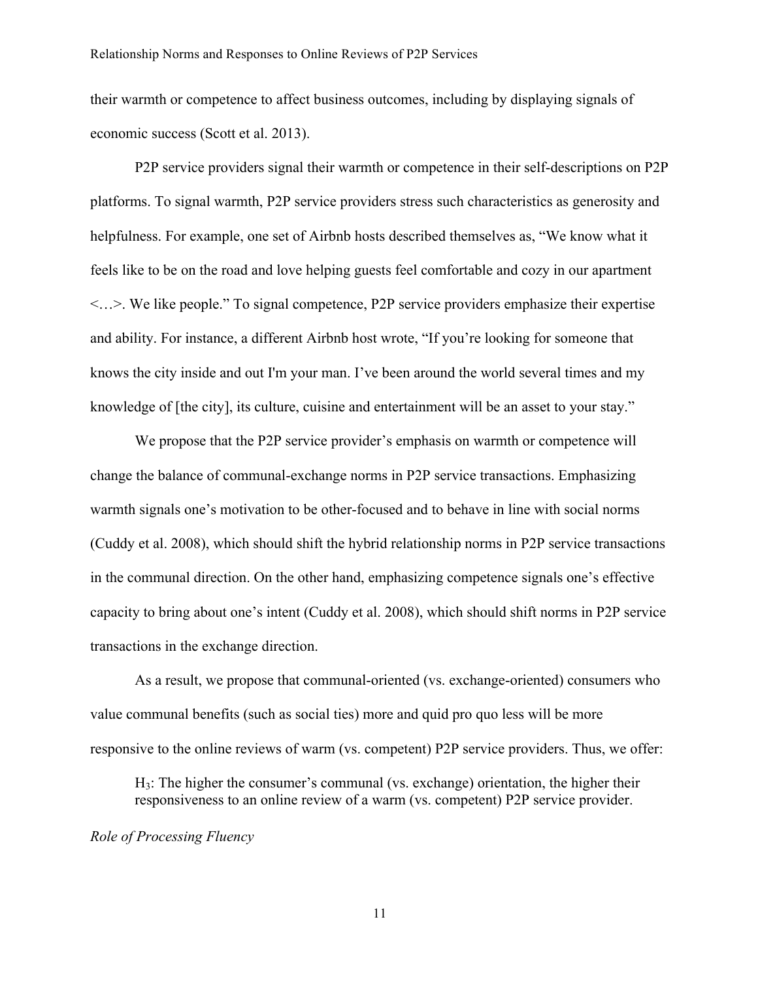their warmth or competence to affect business outcomes, including by displaying signals of economic success (Scott et al. 2013).

P2P service providers signal their warmth or competence in their self-descriptions on P2P platforms. To signal warmth, P2P service providers stress such characteristics as generosity and helpfulness. For example, one set of Airbnb hosts described themselves as, "We know what it feels like to be on the road and love helping guests feel comfortable and cozy in our apartment <…>. We like people." To signal competence, P2P service providers emphasize their expertise and ability. For instance, a different Airbnb host wrote, "If you're looking for someone that knows the city inside and out I'm your man. I've been around the world several times and my knowledge of [the city], its culture, cuisine and entertainment will be an asset to your stay."

We propose that the P2P service provider's emphasis on warmth or competence will change the balance of communal-exchange norms in P2P service transactions. Emphasizing warmth signals one's motivation to be other-focused and to behave in line with social norms (Cuddy et al. 2008), which should shift the hybrid relationship norms in P2P service transactions in the communal direction. On the other hand, emphasizing competence signals one's effective capacity to bring about one's intent (Cuddy et al. 2008), which should shift norms in P2P service transactions in the exchange direction.

As a result, we propose that communal-oriented (vs. exchange-oriented) consumers who value communal benefits (such as social ties) more and quid pro quo less will be more responsive to the online reviews of warm (vs. competent) P2P service providers. Thus, we offer:

H3: The higher the consumer's communal (vs. exchange) orientation, the higher their responsiveness to an online review of a warm (vs. competent) P2P service provider.

#### *Role of Processing Fluency*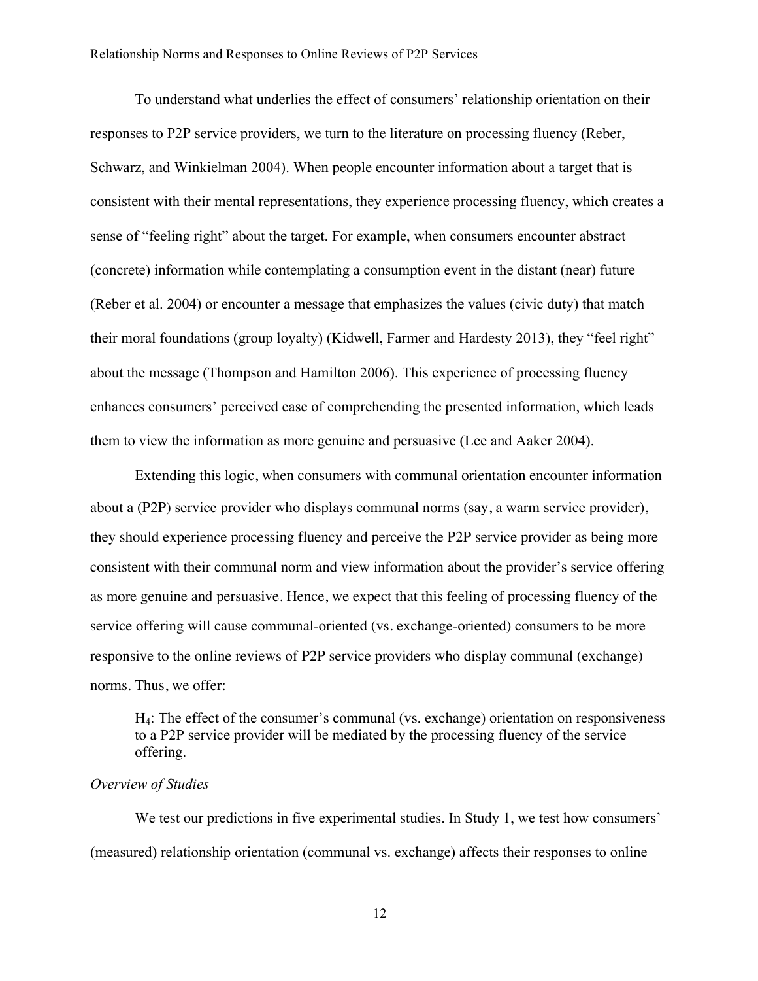To understand what underlies the effect of consumers' relationship orientation on their responses to P2P service providers, we turn to the literature on processing fluency (Reber, Schwarz, and Winkielman 2004). When people encounter information about a target that is consistent with their mental representations, they experience processing fluency, which creates a sense of "feeling right" about the target. For example, when consumers encounter abstract (concrete) information while contemplating a consumption event in the distant (near) future (Reber et al. 2004) or encounter a message that emphasizes the values (civic duty) that match their moral foundations (group loyalty) (Kidwell, Farmer and Hardesty 2013), they "feel right" about the message (Thompson and Hamilton 2006). This experience of processing fluency enhances consumers' perceived ease of comprehending the presented information, which leads them to view the information as more genuine and persuasive (Lee and Aaker 2004).

Extending this logic, when consumers with communal orientation encounter information about a (P2P) service provider who displays communal norms (say, a warm service provider), they should experience processing fluency and perceive the P2P service provider as being more consistent with their communal norm and view information about the provider's service offering as more genuine and persuasive. Hence, we expect that this feeling of processing fluency of the service offering will cause communal-oriented (vs. exchange-oriented) consumers to be more responsive to the online reviews of P2P service providers who display communal (exchange) norms. Thus, we offer:

H4: The effect of the consumer's communal (vs. exchange) orientation on responsiveness to a P2P service provider will be mediated by the processing fluency of the service offering.

## *Overview of Studies*

We test our predictions in five experimental studies. In Study 1, we test how consumers' (measured) relationship orientation (communal vs. exchange) affects their responses to online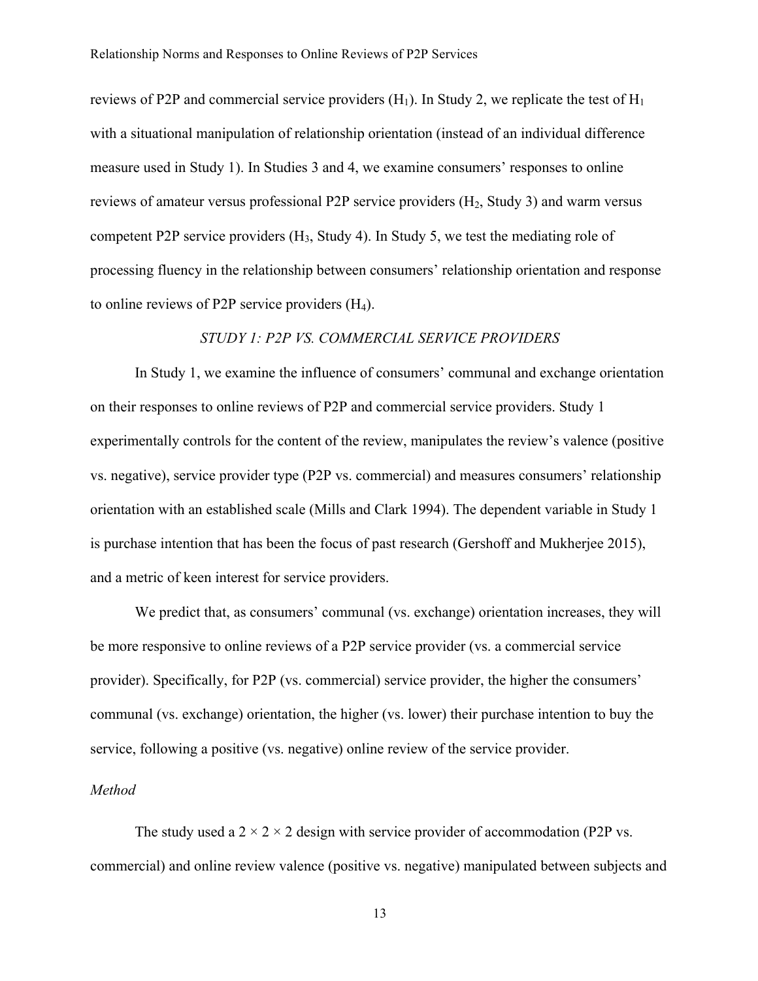reviews of P2P and commercial service providers  $(H_1)$ . In Study 2, we replicate the test of  $H_1$ with a situational manipulation of relationship orientation (instead of an individual difference measure used in Study 1). In Studies 3 and 4, we examine consumers' responses to online reviews of amateur versus professional P2P service providers  $(H_2, Study 3)$  and warm versus competent P2P service providers  $(H_3, Study 4)$ . In Study 5, we test the mediating role of processing fluency in the relationship between consumers' relationship orientation and response to online reviews of P2P service providers (H4).

## *STUDY 1: P2P VS. COMMERCIAL SERVICE PROVIDERS*

In Study 1, we examine the influence of consumers' communal and exchange orientation on their responses to online reviews of P2P and commercial service providers. Study 1 experimentally controls for the content of the review, manipulates the review's valence (positive vs. negative), service provider type (P2P vs. commercial) and measures consumers' relationship orientation with an established scale (Mills and Clark 1994). The dependent variable in Study 1 is purchase intention that has been the focus of past research (Gershoff and Mukherjee 2015), and a metric of keen interest for service providers.

We predict that, as consumers' communal (vs. exchange) orientation increases, they will be more responsive to online reviews of a P2P service provider (vs. a commercial service provider). Specifically, for P2P (vs. commercial) service provider, the higher the consumers' communal (vs. exchange) orientation, the higher (vs. lower) their purchase intention to buy the service, following a positive (vs. negative) online review of the service provider.

## *Method*

The study used a  $2 \times 2 \times 2$  design with service provider of accommodation (P2P vs. commercial) and online review valence (positive vs. negative) manipulated between subjects and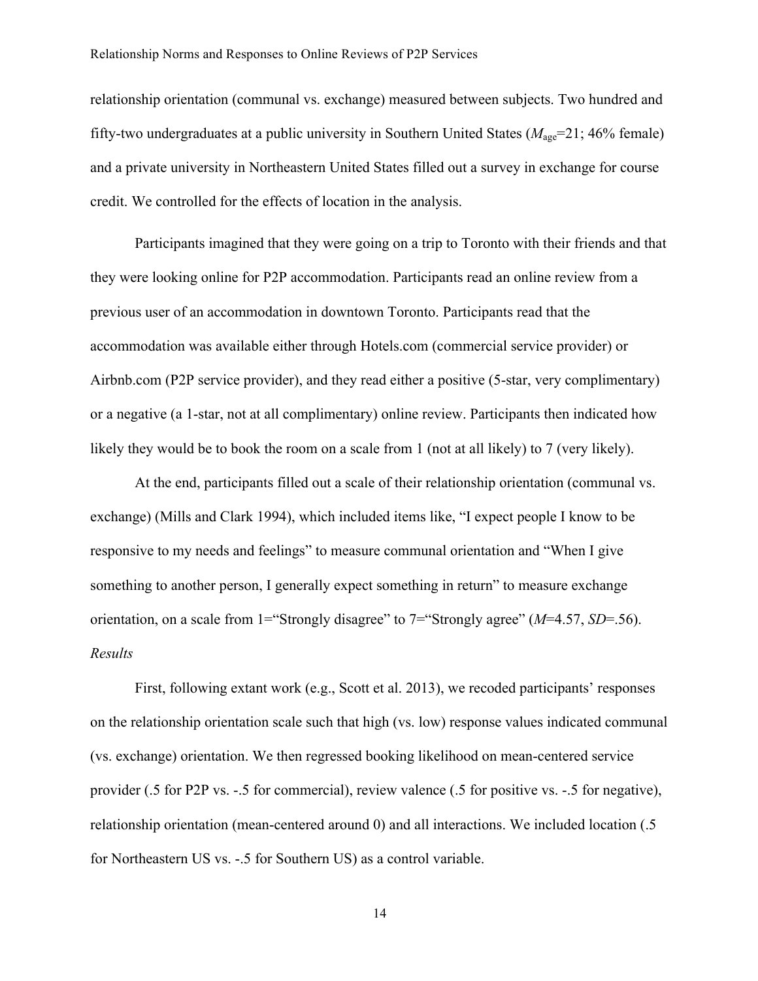relationship orientation (communal vs. exchange) measured between subjects. Two hundred and fifty-two undergraduates at a public university in Southern United States  $(M_{\text{age}}=21; 46\%$  female) and a private university in Northeastern United States filled out a survey in exchange for course credit. We controlled for the effects of location in the analysis.

Participants imagined that they were going on a trip to Toronto with their friends and that they were looking online for P2P accommodation. Participants read an online review from a previous user of an accommodation in downtown Toronto. Participants read that the accommodation was available either through Hotels.com (commercial service provider) or Airbnb.com (P2P service provider), and they read either a positive (5-star, very complimentary) or a negative (a 1-star, not at all complimentary) online review. Participants then indicated how likely they would be to book the room on a scale from 1 (not at all likely) to 7 (very likely).

At the end, participants filled out a scale of their relationship orientation (communal vs. exchange) (Mills and Clark 1994), which included items like, "I expect people I know to be responsive to my needs and feelings" to measure communal orientation and "When I give something to another person, I generally expect something in return" to measure exchange orientation, on a scale from 1="Strongly disagree" to 7="Strongly agree" (*M*=4.57, *SD*=.56). *Results*

First, following extant work (e.g., Scott et al. 2013), we recoded participants' responses on the relationship orientation scale such that high (vs. low) response values indicated communal (vs. exchange) orientation. We then regressed booking likelihood on mean-centered service provider (.5 for P2P vs. -.5 for commercial), review valence (.5 for positive vs. -.5 for negative), relationship orientation (mean-centered around 0) and all interactions. We included location (.5 for Northeastern US vs. -.5 for Southern US) as a control variable.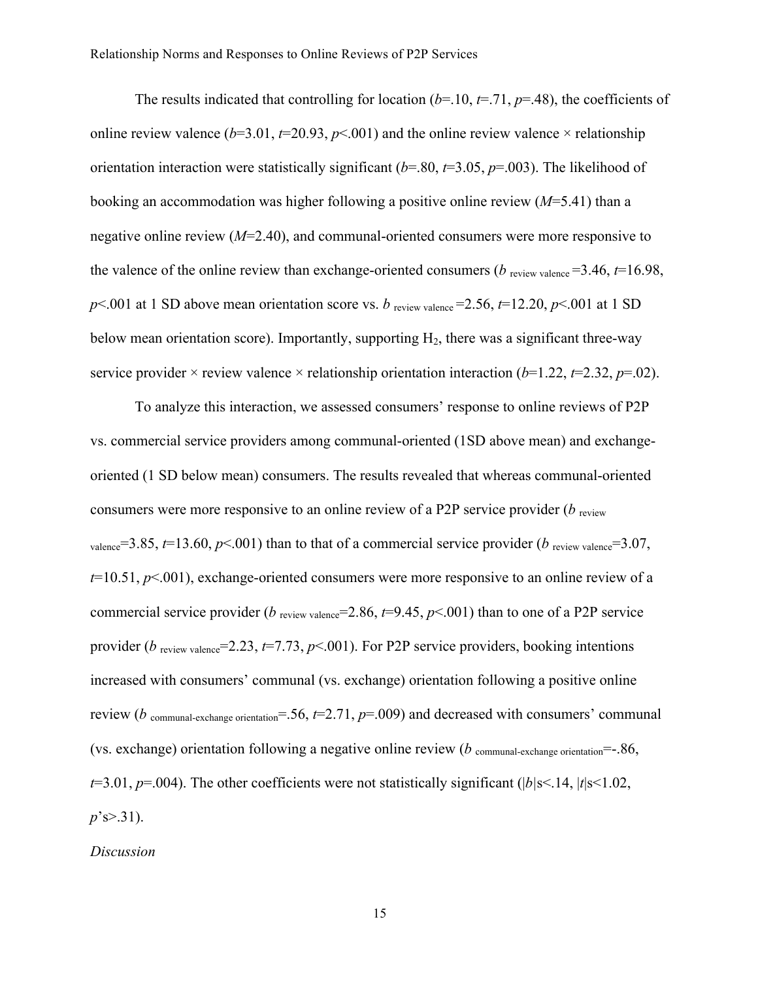The results indicated that controlling for location  $(b=10, t=71, p=48)$ , the coefficients of online review valence ( $b=3.01$ ,  $t=20.93$ ,  $p<0.01$ ) and the online review valence  $\times$  relationship orientation interaction were statistically significant (*b*=.80, *t*=3.05, *p*=.003). The likelihood of booking an accommodation was higher following a positive online review (*M*=5.41) than a negative online review (*M*=2.40), and communal-oriented consumers were more responsive to the valence of the online review than exchange-oriented consumers ( $b$  review valence  $=$  3.46,  $t=$  16.98,  $p$ <.001 at 1 SD above mean orientation score vs. *b* review valence = 2.56,  $t$ =12.20,  $p$ <.001 at 1 SD below mean orientation score). Importantly, supporting  $H_2$ , there was a significant three-way service provider  $\times$  review valence  $\times$  relationship orientation interaction (*b*=1.22, *t*=2.32, *p*=.02).

To analyze this interaction, we assessed consumers' response to online reviews of P2P vs. commercial service providers among communal-oriented (1SD above mean) and exchangeoriented (1 SD below mean) consumers. The results revealed that whereas communal-oriented consumers were more responsive to an online review of a P2P service provider (*b* review valence=3.85,  $t=13.60$ ,  $p<.001$ ) than to that of a commercial service provider (*b* review valence=3.07, *t*=10.51, *p*<.001), exchange-oriented consumers were more responsive to an online review of a commercial service provider ( $b$  review valence<sup> $=$ 2.86,  $t=$ 9.45,  $p$ <.001) than to one of a P2P service</sup> provider ( $b$  review valence=2.23,  $t=7.73$ ,  $p<0.001$ ). For P2P service providers, booking intentions increased with consumers' communal (vs. exchange) orientation following a positive online review ( $b$  communal-exchange orientation<sup>=</sup>.56,  $t=2.71$ ,  $p=0.009$ ) and decreased with consumers' communal (vs. exchange) orientation following a negative online review (*b* communal-exchange orientation<sup>=</sup>-.86, *t*=3.01, *p*=.004). The other coefficients were not statistically significant (|*b|*s<.14, |*t*|s<1.02, *p*'s>.31).

*Discussion*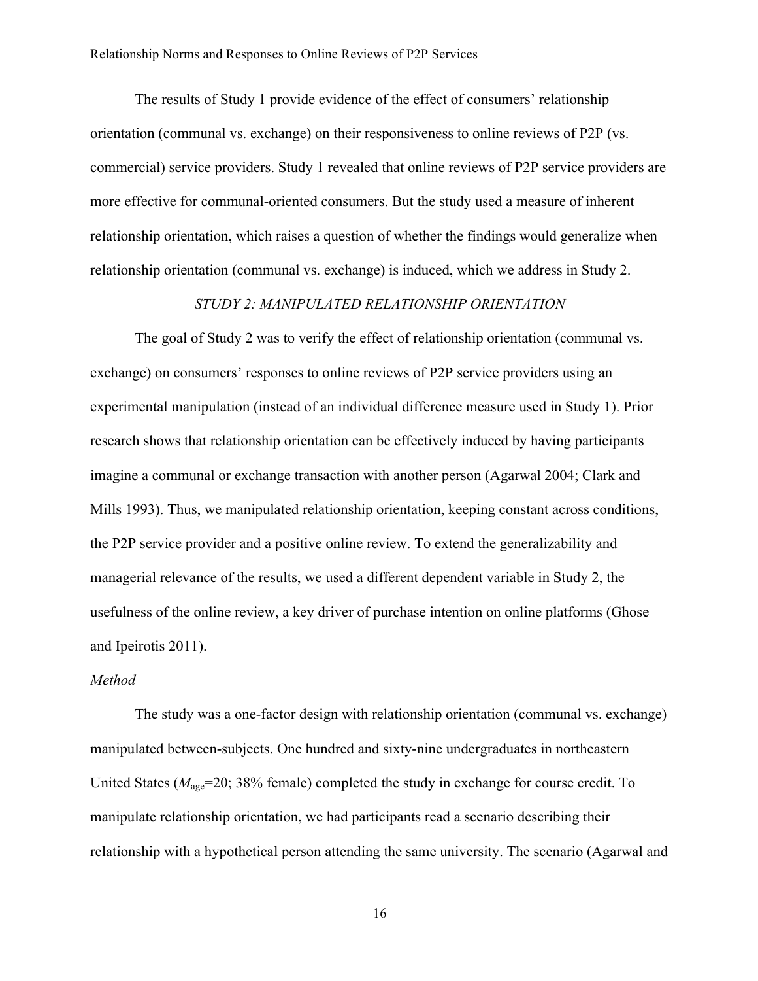The results of Study 1 provide evidence of the effect of consumers' relationship orientation (communal vs. exchange) on their responsiveness to online reviews of P2P (vs. commercial) service providers. Study 1 revealed that online reviews of P2P service providers are more effective for communal-oriented consumers. But the study used a measure of inherent relationship orientation, which raises a question of whether the findings would generalize when relationship orientation (communal vs. exchange) is induced, which we address in Study 2.

#### *STUDY 2: MANIPULATED RELATIONSHIP ORIENTATION*

The goal of Study 2 was to verify the effect of relationship orientation (communal vs. exchange) on consumers' responses to online reviews of P2P service providers using an experimental manipulation (instead of an individual difference measure used in Study 1). Prior research shows that relationship orientation can be effectively induced by having participants imagine a communal or exchange transaction with another person (Agarwal 2004; Clark and Mills 1993). Thus, we manipulated relationship orientation, keeping constant across conditions, the P2P service provider and a positive online review. To extend the generalizability and managerial relevance of the results, we used a different dependent variable in Study 2, the usefulness of the online review, a key driver of purchase intention on online platforms (Ghose and Ipeirotis 2011).

#### *Method*

The study was a one-factor design with relationship orientation (communal vs. exchange) manipulated between-subjects. One hundred and sixty-nine undergraduates in northeastern United States ( $M_{\text{age}}$ =20; 38% female) completed the study in exchange for course credit. To manipulate relationship orientation, we had participants read a scenario describing their relationship with a hypothetical person attending the same university. The scenario (Agarwal and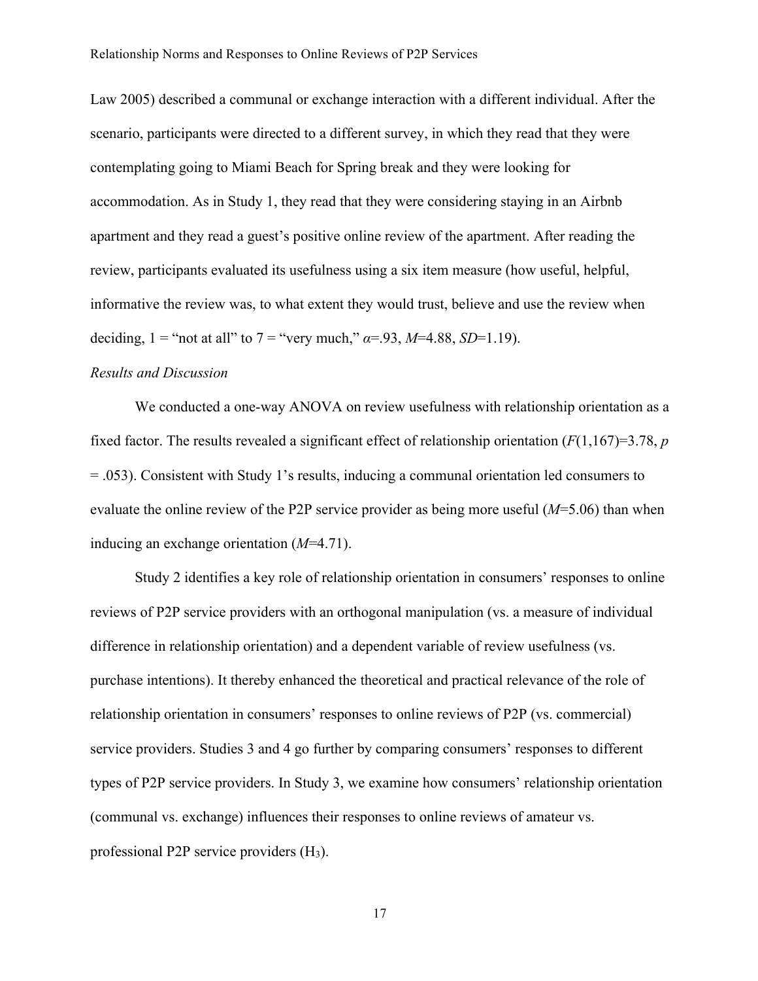Law 2005) described a communal or exchange interaction with a different individual. After the scenario, participants were directed to a different survey, in which they read that they were contemplating going to Miami Beach for Spring break and they were looking for accommodation. As in Study 1, they read that they were considering staying in an Airbnb apartment and they read a guest's positive online review of the apartment. After reading the review, participants evaluated its usefulness using a six item measure (how useful, helpful, informative the review was, to what extent they would trust, believe and use the review when deciding,  $1 =$  "not at all" to  $7 =$  "very much,"  $\alpha = .93$ ,  $M=4.88$ ,  $SD=1.19$ ).

#### *Results and Discussion*

We conducted a one-way ANOVA on review usefulness with relationship orientation as a fixed factor. The results revealed a significant effect of relationship orientation  $(F(1,167)=3.78, p$ = .053). Consistent with Study 1's results, inducing a communal orientation led consumers to evaluate the online review of the P2P service provider as being more useful (*M*=5.06) than when inducing an exchange orientation (*M*=4.71).

Study 2 identifies a key role of relationship orientation in consumers' responses to online reviews of P2P service providers with an orthogonal manipulation (vs. a measure of individual difference in relationship orientation) and a dependent variable of review usefulness (vs. purchase intentions). It thereby enhanced the theoretical and practical relevance of the role of relationship orientation in consumers' responses to online reviews of P2P (vs. commercial) service providers. Studies 3 and 4 go further by comparing consumers' responses to different types of P2P service providers. In Study 3, we examine how consumers' relationship orientation (communal vs. exchange) influences their responses to online reviews of amateur vs. professional P2P service providers (H3).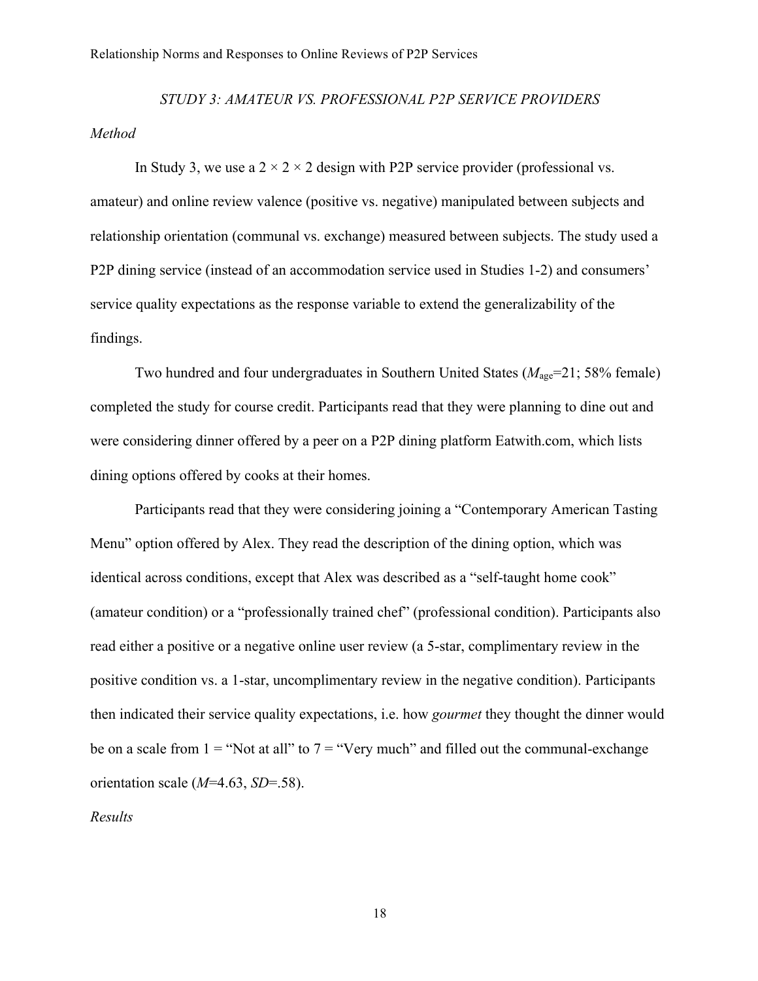# *STUDY 3: AMATEUR VS. PROFESSIONAL P2P SERVICE PROVIDERS Method*

In Study 3, we use a  $2 \times 2 \times 2$  design with P2P service provider (professional vs. amateur) and online review valence (positive vs. negative) manipulated between subjects and relationship orientation (communal vs. exchange) measured between subjects. The study used a P2P dining service (instead of an accommodation service used in Studies 1-2) and consumers' service quality expectations as the response variable to extend the generalizability of the findings.

Two hundred and four undergraduates in Southern United States ( $M_{\text{age}}$ =21; 58% female) completed the study for course credit. Participants read that they were planning to dine out and were considering dinner offered by a peer on a P2P dining platform Eatwith.com, which lists dining options offered by cooks at their homes.

Participants read that they were considering joining a "Contemporary American Tasting Menu" option offered by Alex. They read the description of the dining option, which was identical across conditions, except that Alex was described as a "self-taught home cook" (amateur condition) or a "professionally trained chef" (professional condition). Participants also read either a positive or a negative online user review (a 5-star, complimentary review in the positive condition vs. a 1-star, uncomplimentary review in the negative condition). Participants then indicated their service quality expectations, i.e. how *gourmet* they thought the dinner would be on a scale from  $1 =$  "Not at all" to  $7 =$  "Very much" and filled out the communal-exchange orientation scale (*M*=4.63, *SD*=.58).

*Results*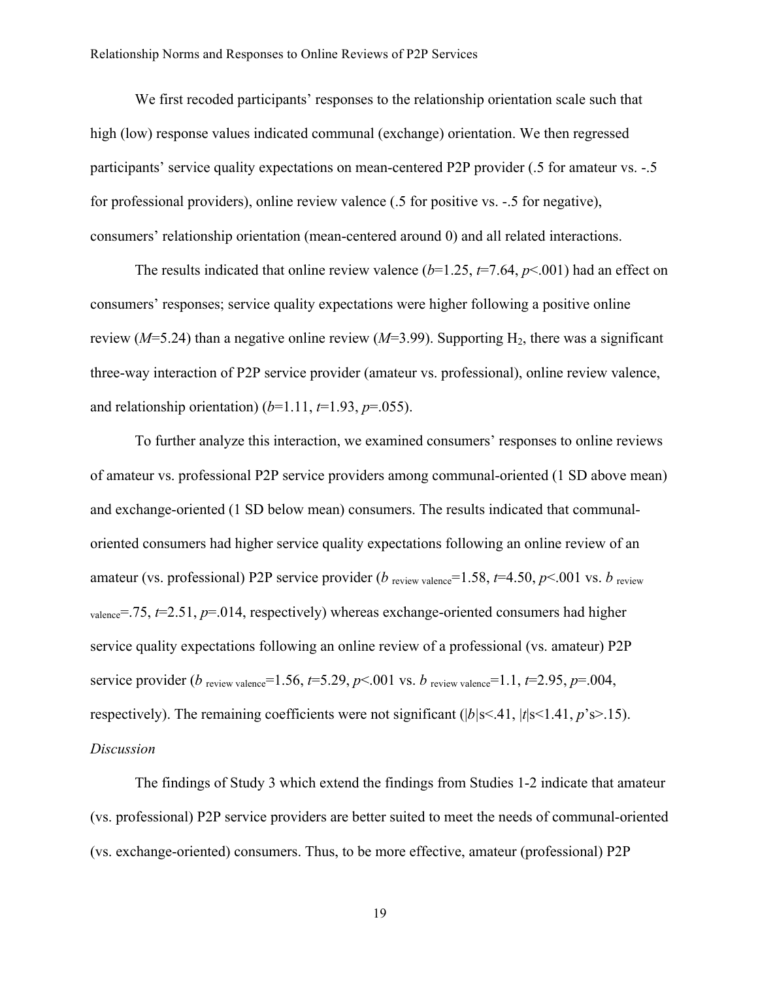We first recoded participants' responses to the relationship orientation scale such that high (low) response values indicated communal (exchange) orientation. We then regressed participants' service quality expectations on mean-centered P2P provider (.5 for amateur vs. -.5 for professional providers), online review valence (.5 for positive vs. -.5 for negative), consumers' relationship orientation (mean-centered around 0) and all related interactions.

The results indicated that online review valence  $(b=1.25, t=7.64, p<.001)$  had an effect on consumers' responses; service quality expectations were higher following a positive online review ( $M=5.24$ ) than a negative online review ( $M=3.99$ ). Supporting H<sub>2</sub>, there was a significant three-way interaction of P2P service provider (amateur vs. professional), online review valence, and relationship orientation)  $(b=1.11, t=1.93, p=.055)$ .

To further analyze this interaction, we examined consumers' responses to online reviews of amateur vs. professional P2P service providers among communal-oriented (1 SD above mean) and exchange-oriented (1 SD below mean) consumers. The results indicated that communaloriented consumers had higher service quality expectations following an online review of an amateur (vs. professional) P2P service provider (*b* review valence=1.58,  $t=4.50$ ,  $p<.001$  vs. *b* review  $v_{\text{valence}} = .75$ ,  $t = 2.51$ ,  $p = .014$ , respectively) whereas exchange-oriented consumers had higher service quality expectations following an online review of a professional (vs. amateur) P2P service provider (*b* review valence=1.56, *t*=5.29, *p* <.001 vs. *b* review valence=1.1, *t*=2.95, *p*=.004, respectively). The remaining coefficients were not significant ( $|b|$ s<.41,  $|t|$ s<1.41,  $p$ 's>.15). *Discussion*

The findings of Study 3 which extend the findings from Studies 1-2 indicate that amateur (vs. professional) P2P service providers are better suited to meet the needs of communal-oriented (vs. exchange-oriented) consumers. Thus, to be more effective, amateur (professional) P2P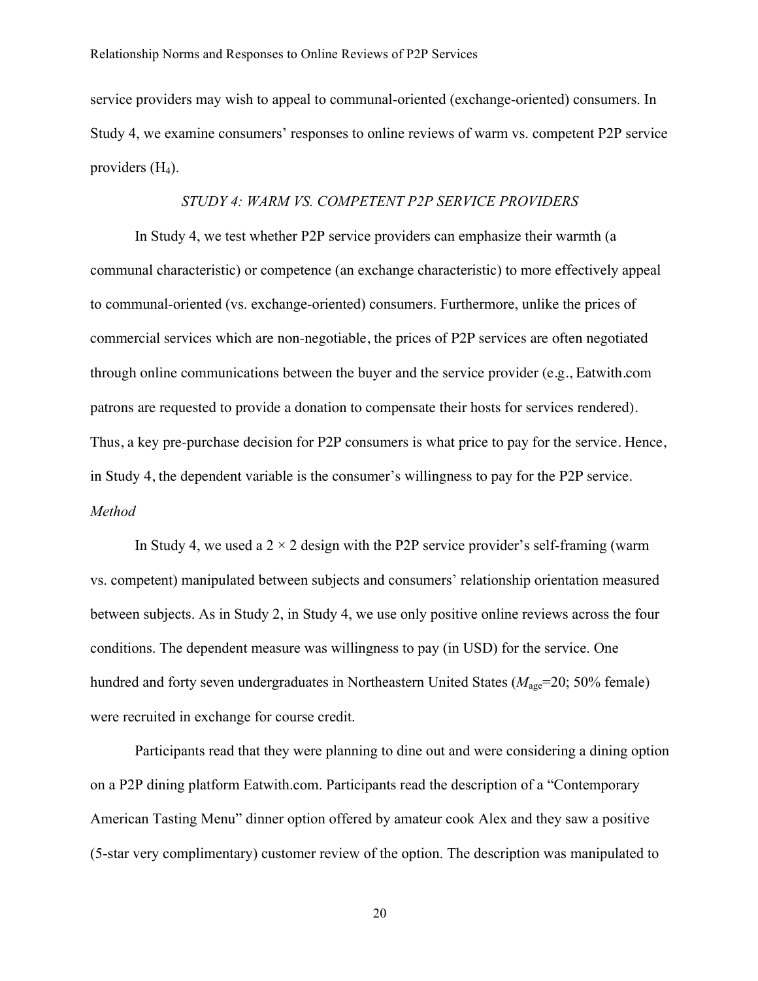service providers may wish to appeal to communal-oriented (exchange-oriented) consumers. In Study 4, we examine consumers' responses to online reviews of warm vs. competent P2P service providers  $(H<sub>4</sub>)$ .

#### *STUDY 4: WARM VS. COMPETENT P2P SERVICE PROVIDERS*

In Study 4, we test whether P2P service providers can emphasize their warmth (a communal characteristic) or competence (an exchange characteristic) to more effectively appeal to communal-oriented (vs. exchange-oriented) consumers. Furthermore, unlike the prices of commercial services which are non-negotiable, the prices of P2P services are often negotiated through online communications between the buyer and the service provider (e.g., Eatwith.com patrons are requested to provide a donation to compensate their hosts for services rendered). Thus, a key pre-purchase decision for P2P consumers is what price to pay for the service. Hence, in Study 4, the dependent variable is the consumer's willingness to pay for the P2P service. *Method*

In Study 4, we used a  $2 \times 2$  design with the P2P service provider's self-framing (warm vs. competent) manipulated between subjects and consumers' relationship orientation measured between subjects. As in Study 2, in Study 4, we use only positive online reviews across the four conditions. The dependent measure was willingness to pay (in USD) for the service. One hundred and forty seven undergraduates in Northeastern United States ( $M_{\text{age}}$ =20; 50% female) were recruited in exchange for course credit.

Participants read that they were planning to dine out and were considering a dining option on a P2P dining platform Eatwith.com. Participants read the description of a "Contemporary American Tasting Menu" dinner option offered by amateur cook Alex and they saw a positive (5-star very complimentary) customer review of the option. The description was manipulated to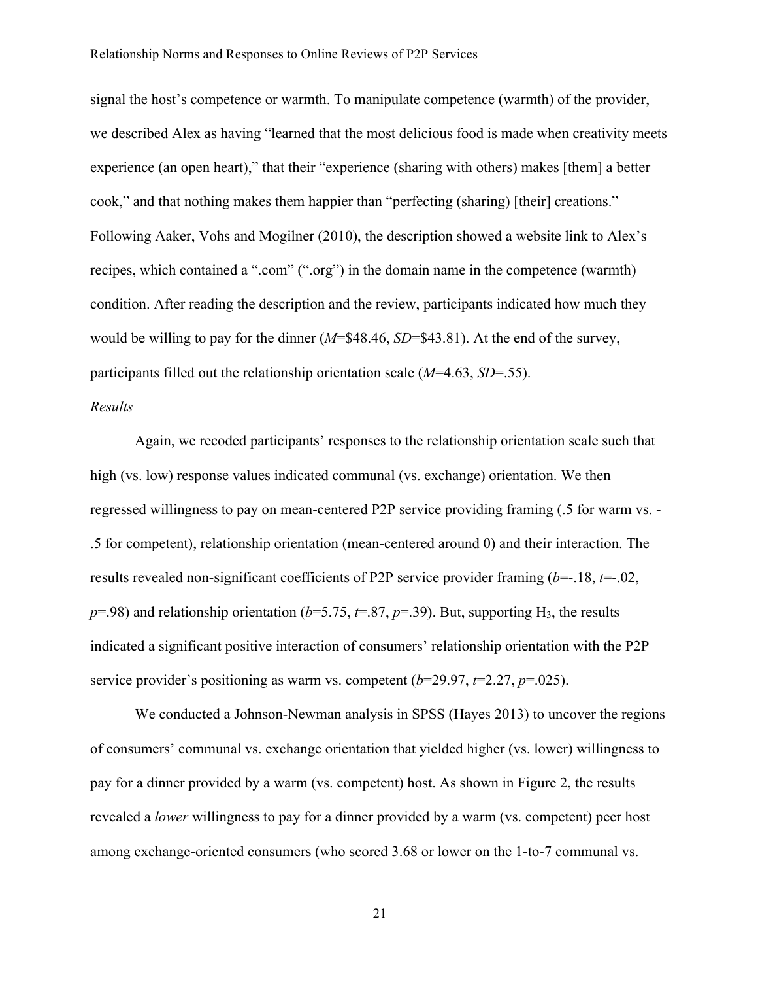signal the host's competence or warmth. To manipulate competence (warmth) of the provider, we described Alex as having "learned that the most delicious food is made when creativity meets experience (an open heart)," that their "experience (sharing with others) makes [them] a better cook," and that nothing makes them happier than "perfecting (sharing) [their] creations." Following Aaker, Vohs and Mogilner (2010), the description showed a website link to Alex's recipes, which contained a ".com" (".org") in the domain name in the competence (warmth) condition. After reading the description and the review, participants indicated how much they would be willing to pay for the dinner (*M*=\$48.46, *SD*=\$43.81). At the end of the survey, participants filled out the relationship orientation scale (*M*=4.63, *SD*=.55).

## *Results*

Again, we recoded participants' responses to the relationship orientation scale such that high (vs. low) response values indicated communal (vs. exchange) orientation. We then regressed willingness to pay on mean-centered P2P service providing framing (.5 for warm vs. - .5 for competent), relationship orientation (mean-centered around 0) and their interaction. The results revealed non-significant coefficients of P2P service provider framing (*b*=-.18, *t*=-.02,  $p=0.98$ ) and relationship orientation ( $b=5.75$ ,  $t=.87$ ,  $p=.39$ ). But, supporting H<sub>3</sub>, the results indicated a significant positive interaction of consumers' relationship orientation with the P2P service provider's positioning as warm vs. competent (*b*=29.97, *t*=2.27, *p*=.025).

We conducted a Johnson-Newman analysis in SPSS (Hayes 2013) to uncover the regions of consumers' communal vs. exchange orientation that yielded higher (vs. lower) willingness to pay for a dinner provided by a warm (vs. competent) host. As shown in Figure 2, the results revealed a *lower* willingness to pay for a dinner provided by a warm (vs. competent) peer host among exchange-oriented consumers (who scored 3.68 or lower on the 1-to-7 communal vs.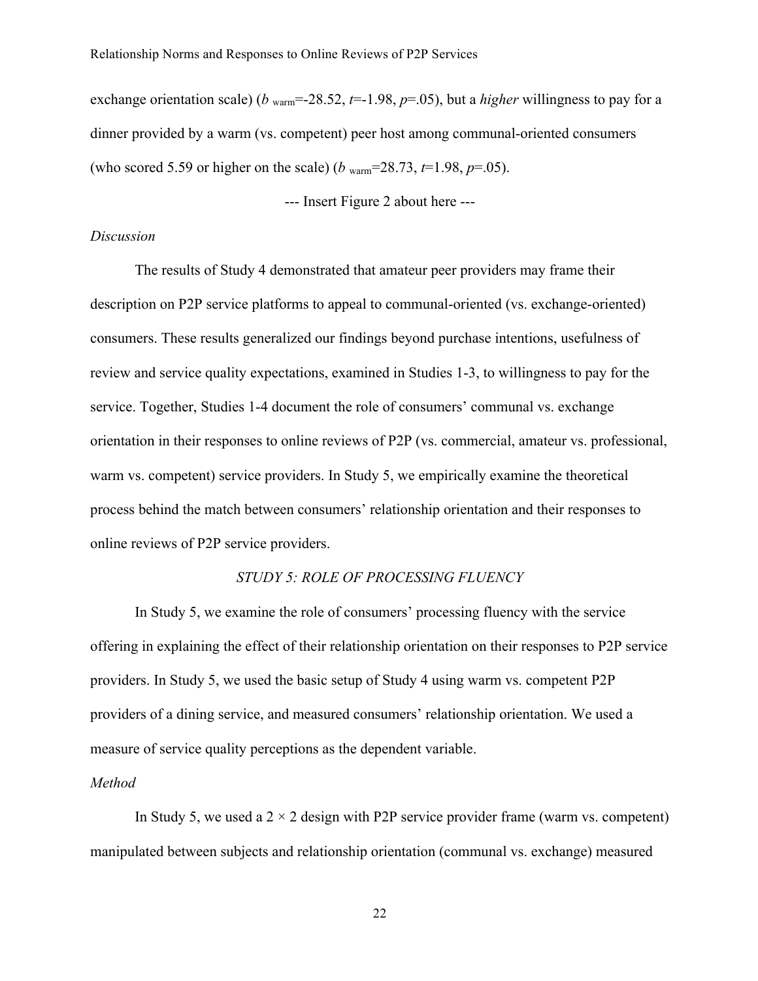exchange orientation scale) (*b* <sub>warm</sub>=-28.52,  $t=1.98$ ,  $p=0.05$ ), but a *higher* willingness to pay for a dinner provided by a warm (vs. competent) peer host among communal-oriented consumers (who scored 5.59 or higher on the scale) (*b* warm=28.73, *t*=1.98, *p*=.05).

--- Insert Figure 2 about here ---

#### *Discussion*

The results of Study 4 demonstrated that amateur peer providers may frame their description on P2P service platforms to appeal to communal-oriented (vs. exchange-oriented) consumers. These results generalized our findings beyond purchase intentions, usefulness of review and service quality expectations, examined in Studies 1-3, to willingness to pay for the service. Together, Studies 1-4 document the role of consumers' communal vs. exchange orientation in their responses to online reviews of P2P (vs. commercial, amateur vs. professional, warm vs. competent) service providers. In Study 5, we empirically examine the theoretical process behind the match between consumers' relationship orientation and their responses to online reviews of P2P service providers.

#### *STUDY 5: ROLE OF PROCESSING FLUENCY*

In Study 5, we examine the role of consumers' processing fluency with the service offering in explaining the effect of their relationship orientation on their responses to P2P service providers. In Study 5, we used the basic setup of Study 4 using warm vs. competent P2P providers of a dining service, and measured consumers' relationship orientation. We used a measure of service quality perceptions as the dependent variable.

#### *Method*

In Study 5, we used a  $2 \times 2$  design with P2P service provider frame (warm vs. competent) manipulated between subjects and relationship orientation (communal vs. exchange) measured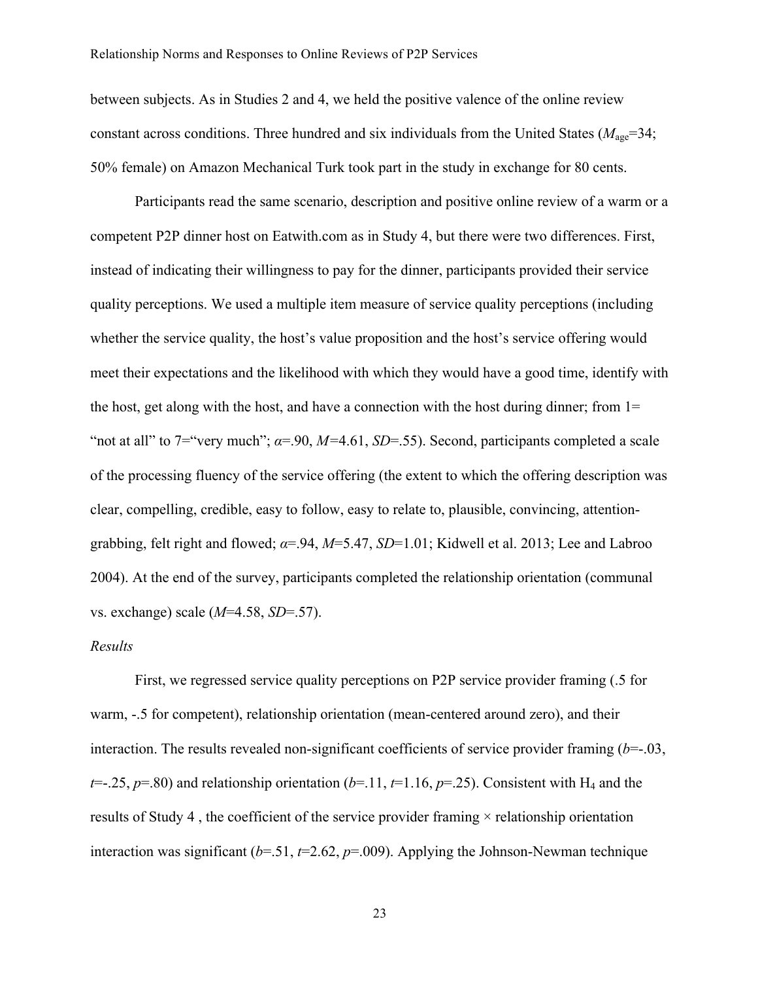between subjects. As in Studies 2 and 4, we held the positive valence of the online review constant across conditions. Three hundred and six individuals from the United States ( $M_{\text{age}}$ =34; 50% female) on Amazon Mechanical Turk took part in the study in exchange for 80 cents.

Participants read the same scenario, description and positive online review of a warm or a competent P2P dinner host on Eatwith.com as in Study 4, but there were two differences. First, instead of indicating their willingness to pay for the dinner, participants provided their service quality perceptions. We used a multiple item measure of service quality perceptions (including whether the service quality, the host's value proposition and the host's service offering would meet their expectations and the likelihood with which they would have a good time, identify with the host, get along with the host, and have a connection with the host during dinner; from 1= "not at all" to 7="very much";  $\alpha$ =.90,  $M$ =4.61,  $SD$ =.55). Second, participants completed a scale of the processing fluency of the service offering (the extent to which the offering description was clear, compelling, credible, easy to follow, easy to relate to, plausible, convincing, attentiongrabbing, felt right and flowed; *α*=.94, *M*=5.47, *SD*=1.01; Kidwell et al. 2013; Lee and Labroo 2004). At the end of the survey, participants completed the relationship orientation (communal vs. exchange) scale (*M*=4.58, *SD*=.57).

#### *Results*

First, we regressed service quality perceptions on P2P service provider framing (.5 for warm, -.5 for competent), relationship orientation (mean-centered around zero), and their interaction. The results revealed non-significant coefficients of service provider framing (*b*=-.03,  $t=$ .25,  $p=80$ ) and relationship orientation ( $b=11$ ,  $t=1.16$ ,  $p=0.25$ ). Consistent with H<sub>4</sub> and the results of Study 4, the coefficient of the service provider framing  $\times$  relationship orientation interaction was significant  $(b=0.51, t=2.62, p=0.009)$ . Applying the Johnson-Newman technique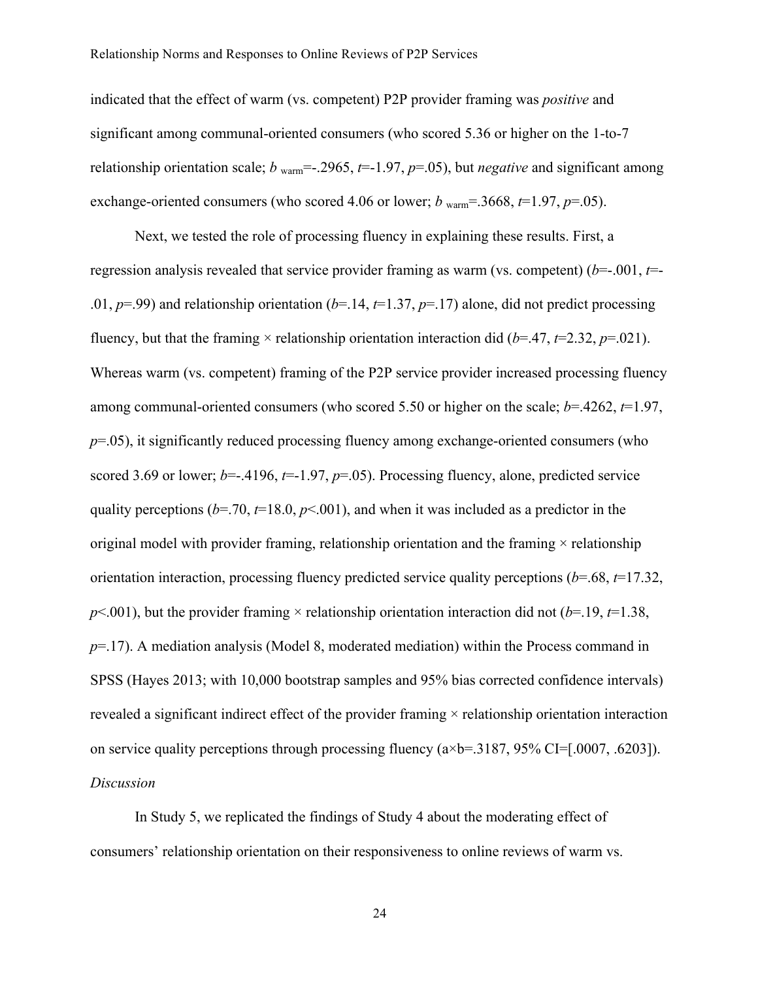indicated that the effect of warm (vs. competent) P2P provider framing was *positive* and significant among communal-oriented consumers (who scored 5.36 or higher on the 1-to-7 relationship orientation scale; *b* warm<sup> $=$ </sup>-.2965, *t* $=$ -1.97, *p* $=$ .05), but *negative* and significant among exchange-oriented consumers (who scored 4.06 or lower;  $b_{\text{warm}} = 3668$ ,  $t=1.97$ ,  $p=0.05$ ).

Next, we tested the role of processing fluency in explaining these results. First, a regression analysis revealed that service provider framing as warm (vs. competent) ( $b$ =-.001,  $t$ =-.01,  $p=0.99$ ) and relationship orientation ( $b=1.14$ ,  $t=1.37$ ,  $p=17$ ) alone, did not predict processing fluency, but that the framing  $\times$  relationship orientation interaction did (*b*=.47, *t*=2.32, *p*=.021). Whereas warm (vs. competent) framing of the P2P service provider increased processing fluency among communal-oriented consumers (who scored 5.50 or higher on the scale; *b*=.4262, *t*=1.97,  $p=0.05$ ), it significantly reduced processing fluency among exchange-oriented consumers (who scored 3.69 or lower;  $b=-.4196$ ,  $t=-1.97$ ,  $p=.05$ ). Processing fluency, alone, predicted service quality perceptions ( $b=70$ ,  $t=18.0$ ,  $p<0.001$ ), and when it was included as a predictor in the original model with provider framing, relationship orientation and the framing  $\times$  relationship orientation interaction, processing fluency predicted service quality perceptions (*b*=.68, *t*=17.32,  $p$ <.001), but the provider framing  $\times$  relationship orientation interaction did not (*b*=.19, *t*=1.38, *p*=.17). A mediation analysis (Model 8, moderated mediation) within the Process command in SPSS (Hayes 2013; with 10,000 bootstrap samples and 95% bias corrected confidence intervals) revealed a significant indirect effect of the provider framing × relationship orientation interaction on service quality perceptions through processing fluency  $(a \times b = 3187, 95\% \text{ CI} = [0.0007, 0.6203])$ . *Discussion*

In Study 5, we replicated the findings of Study 4 about the moderating effect of consumers' relationship orientation on their responsiveness to online reviews of warm vs.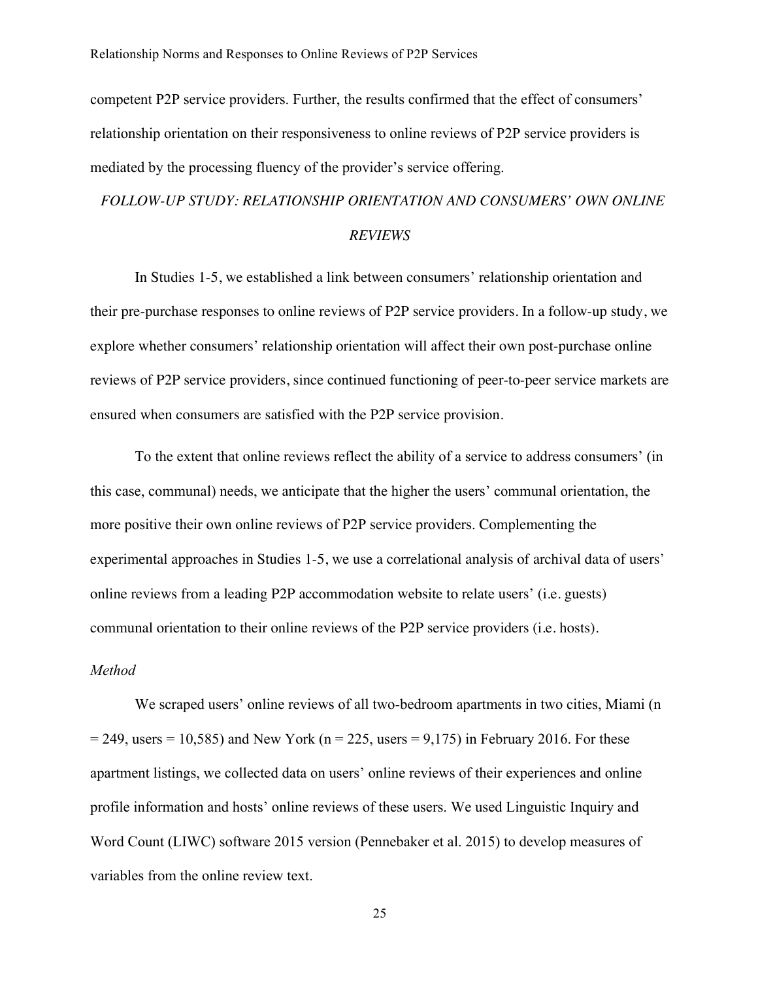competent P2P service providers. Further, the results confirmed that the effect of consumers' relationship orientation on their responsiveness to online reviews of P2P service providers is mediated by the processing fluency of the provider's service offering.

# *FOLLOW-UP STUDY: RELATIONSHIP ORIENTATION AND CONSUMERS' OWN ONLINE REVIEWS*

In Studies 1-5, we established a link between consumers' relationship orientation and their pre-purchase responses to online reviews of P2P service providers. In a follow-up study, we explore whether consumers' relationship orientation will affect their own post-purchase online reviews of P2P service providers, since continued functioning of peer-to-peer service markets are ensured when consumers are satisfied with the P2P service provision.

To the extent that online reviews reflect the ability of a service to address consumers' (in this case, communal) needs, we anticipate that the higher the users' communal orientation, the more positive their own online reviews of P2P service providers. Complementing the experimental approaches in Studies 1-5, we use a correlational analysis of archival data of users' online reviews from a leading P2P accommodation website to relate users' (i.e. guests) communal orientation to their online reviews of the P2P service providers (i.e. hosts).

# *Method*

We scraped users' online reviews of all two-bedroom apartments in two cities, Miami (n  $= 249$ , users  $= 10,585$ ) and New York (n  $= 225$ , users  $= 9,175$ ) in February 2016. For these apartment listings, we collected data on users' online reviews of their experiences and online profile information and hosts' online reviews of these users. We used Linguistic Inquiry and Word Count (LIWC) software 2015 version (Pennebaker et al. 2015) to develop measures of variables from the online review text.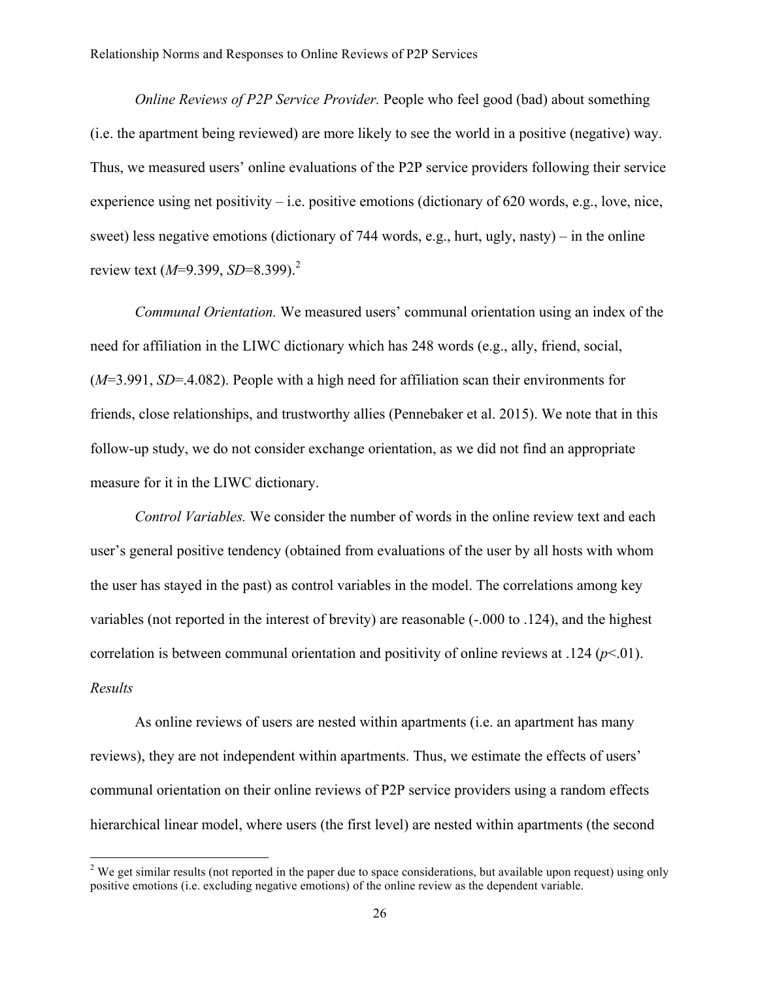*Online Reviews of P2P Service Provider.* People who feel good (bad) about something (i.e. the apartment being reviewed) are more likely to see the world in a positive (negative) way. Thus, we measured users' online evaluations of the P2P service providers following their service experience using net positivity – i.e. positive emotions (dictionary of  $620$  words, e.g., love, nice, sweet) less negative emotions (dictionary of 744 words, e.g., hurt, ugly, nasty) – in the online review text (*M*=9.399, *SD*=8.399).<sup>2</sup>

*Communal Orientation.* We measured users' communal orientation using an index of the need for affiliation in the LIWC dictionary which has 248 words (e.g., ally, friend, social, (*M*=3.991, *SD*=.4.082). People with a high need for affiliation scan their environments for friends, close relationships, and trustworthy allies (Pennebaker et al. 2015). We note that in this follow-up study, we do not consider exchange orientation, as we did not find an appropriate measure for it in the LIWC dictionary.

*Control Variables.* We consider the number of words in the online review text and each user's general positive tendency (obtained from evaluations of the user by all hosts with whom the user has stayed in the past) as control variables in the model. The correlations among key variables (not reported in the interest of brevity) are reasonable (-.000 to .124), and the highest correlation is between communal orientation and positivity of online reviews at .124 ( $p<.01$ ). *Results*

As online reviews of users are nested within apartments (i.e. an apartment has many reviews), they are not independent within apartments. Thus, we estimate the effects of users' communal orientation on their online reviews of P2P service providers using a random effects hierarchical linear model, where users (the first level) are nested within apartments (the second

!!!!!!!!!!!!!!!!!!!!!!!!!!!!!!!!!!!!!!!!!!!!!!!!!!!!!!!!!!!!

 $2$  We get similar results (not reported in the paper due to space considerations, but available upon request) using only positive emotions (i.e. excluding negative emotions) of the online review as the dependent variable.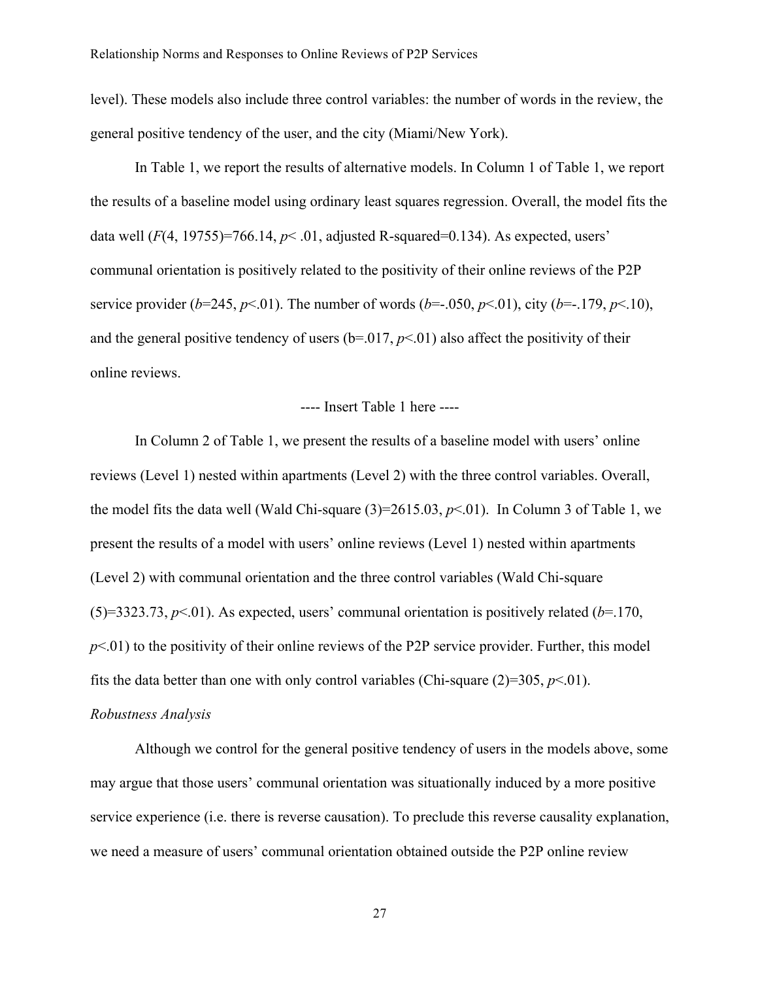level). These models also include three control variables: the number of words in the review, the general positive tendency of the user, and the city (Miami/New York).

In Table 1, we report the results of alternative models. In Column 1 of Table 1, we report the results of a baseline model using ordinary least squares regression. Overall, the model fits the data well  $(F(4, 19755)=766.14, p< .01$ , adjusted R-squared=0.134). As expected, users' communal orientation is positively related to the positivity of their online reviews of the P2P service provider ( $b=245$ ,  $p<01$ ). The number of words ( $b=-.050$ ,  $p<01$ ), city ( $b=-.179$ ,  $p<10$ ), and the general positive tendency of users  $(b=0.017, p<0.01)$  also affect the positivity of their online reviews.

#### ---- Insert Table 1 here ----

In Column 2 of Table 1, we present the results of a baseline model with users' online reviews (Level 1) nested within apartments (Level 2) with the three control variables. Overall, the model fits the data well (Wald Chi-square  $(3)=2615.03, p<0.01$ ). In Column 3 of Table 1, we present the results of a model with users' online reviews (Level 1) nested within apartments (Level 2) with communal orientation and the three control variables (Wald Chi-square  $(5)=3323.73, p<0$ . As expected, users' communal orientation is positively related ( $b=170$ ,  $p<01$ ) to the positivity of their online reviews of the P2P service provider. Further, this model fits the data better than one with only control variables (Chi-square  $(2)=305, p<01$ ). *Robustness Analysis*

Although we control for the general positive tendency of users in the models above, some may argue that those users' communal orientation was situationally induced by a more positive service experience (i.e. there is reverse causation). To preclude this reverse causality explanation, we need a measure of users' communal orientation obtained outside the P2P online review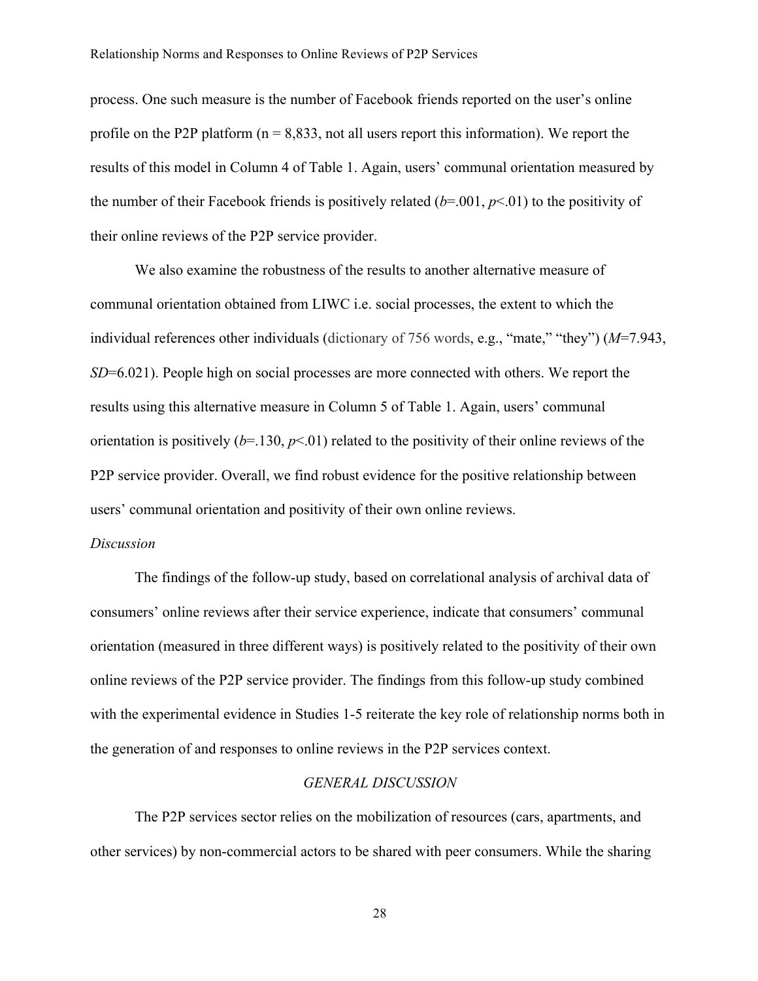process. One such measure is the number of Facebook friends reported on the user's online profile on the P2P platform ( $n = 8,833$ , not all users report this information). We report the results of this model in Column 4 of Table 1. Again, users' communal orientation measured by the number of their Facebook friends is positively related  $(b=001, p<01)$  to the positivity of their online reviews of the P2P service provider.

We also examine the robustness of the results to another alternative measure of communal orientation obtained from LIWC i.e. social processes, the extent to which the individual references other individuals (dictionary of 756 words, e.g., "mate," "they") (*M*=7.943, *SD*=6.021). People high on social processes are more connected with others. We report the results using this alternative measure in Column 5 of Table 1. Again, users' communal orientation is positively  $(b=130, p<01)$  related to the positivity of their online reviews of the P2P service provider. Overall, we find robust evidence for the positive relationship between users' communal orientation and positivity of their own online reviews.

#### *Discussion*

The findings of the follow-up study, based on correlational analysis of archival data of consumers' online reviews after their service experience, indicate that consumers' communal orientation (measured in three different ways) is positively related to the positivity of their own online reviews of the P2P service provider. The findings from this follow-up study combined with the experimental evidence in Studies 1-5 reiterate the key role of relationship norms both in the generation of and responses to online reviews in the P2P services context.

### *GENERAL DISCUSSION*

The P2P services sector relies on the mobilization of resources (cars, apartments, and other services) by non-commercial actors to be shared with peer consumers. While the sharing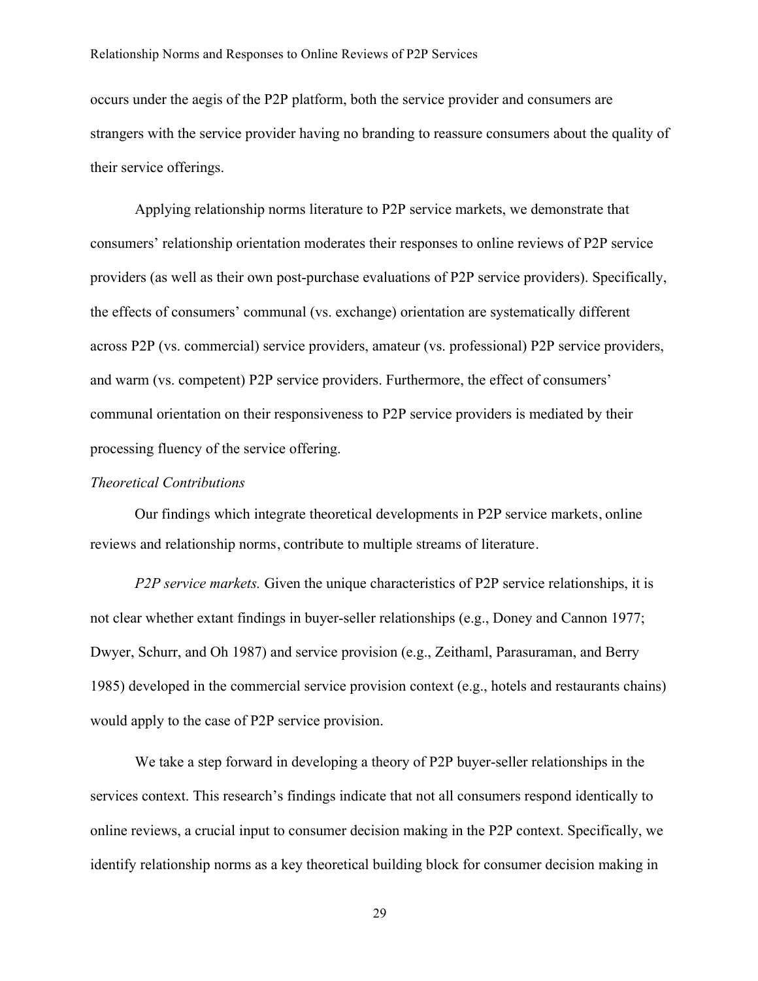occurs under the aegis of the P2P platform, both the service provider and consumers are strangers with the service provider having no branding to reassure consumers about the quality of their service offerings.

Applying relationship norms literature to P2P service markets, we demonstrate that consumers' relationship orientation moderates their responses to online reviews of P2P service providers (as well as their own post-purchase evaluations of P2P service providers). Specifically, the effects of consumers' communal (vs. exchange) orientation are systematically different across P2P (vs. commercial) service providers, amateur (vs. professional) P2P service providers, and warm (vs. competent) P2P service providers. Furthermore, the effect of consumers' communal orientation on their responsiveness to P2P service providers is mediated by their processing fluency of the service offering.

## *Theoretical Contributions*

Our findings which integrate theoretical developments in P2P service markets, online reviews and relationship norms, contribute to multiple streams of literature.

*P2P service markets.* Given the unique characteristics of P2P service relationships, it is not clear whether extant findings in buyer-seller relationships (e.g., Doney and Cannon 1977; Dwyer, Schurr, and Oh 1987) and service provision (e.g., Zeithaml, Parasuraman, and Berry 1985) developed in the commercial service provision context (e.g., hotels and restaurants chains) would apply to the case of P2P service provision.

We take a step forward in developing a theory of P2P buyer-seller relationships in the services context. This research's findings indicate that not all consumers respond identically to online reviews, a crucial input to consumer decision making in the P2P context. Specifically, we identify relationship norms as a key theoretical building block for consumer decision making in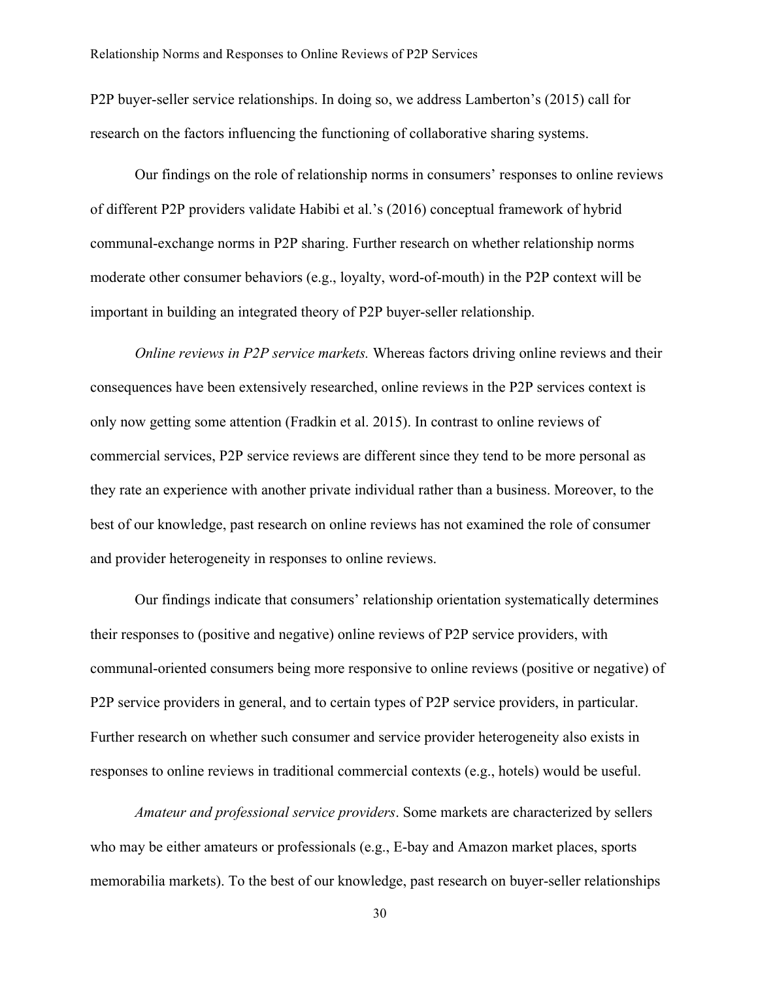P2P buyer-seller service relationships. In doing so, we address Lamberton's (2015) call for research on the factors influencing the functioning of collaborative sharing systems.

Our findings on the role of relationship norms in consumers' responses to online reviews of different P2P providers validate Habibi et al.'s (2016) conceptual framework of hybrid communal-exchange norms in P2P sharing. Further research on whether relationship norms moderate other consumer behaviors (e.g., loyalty, word-of-mouth) in the P2P context will be important in building an integrated theory of P2P buyer-seller relationship.

*Online reviews in P2P service markets.* Whereas factors driving online reviews and their consequences have been extensively researched, online reviews in the P2P services context is only now getting some attention (Fradkin et al. 2015). In contrast to online reviews of commercial services, P2P service reviews are different since they tend to be more personal as they rate an experience with another private individual rather than a business. Moreover, to the best of our knowledge, past research on online reviews has not examined the role of consumer and provider heterogeneity in responses to online reviews.

Our findings indicate that consumers' relationship orientation systematically determines their responses to (positive and negative) online reviews of P2P service providers, with communal-oriented consumers being more responsive to online reviews (positive or negative) of P2P service providers in general, and to certain types of P2P service providers, in particular. Further research on whether such consumer and service provider heterogeneity also exists in responses to online reviews in traditional commercial contexts (e.g., hotels) would be useful.

*Amateur and professional service providers*. Some markets are characterized by sellers who may be either amateurs or professionals (e.g., E-bay and Amazon market places, sports memorabilia markets). To the best of our knowledge, past research on buyer-seller relationships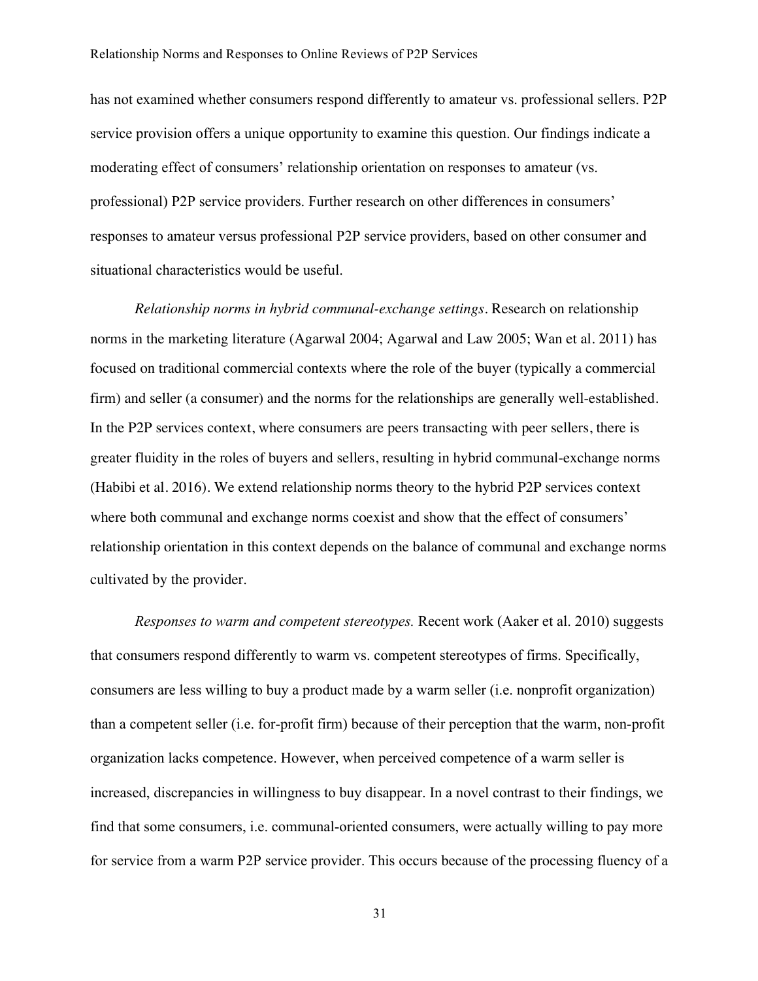has not examined whether consumers respond differently to amateur vs. professional sellers. P2P service provision offers a unique opportunity to examine this question. Our findings indicate a moderating effect of consumers' relationship orientation on responses to amateur (vs. professional) P2P service providers. Further research on other differences in consumers' responses to amateur versus professional P2P service providers, based on other consumer and situational characteristics would be useful.

*Relationship norms in hybrid communal-exchange settings.* Research on relationship norms in the marketing literature (Agarwal 2004; Agarwal and Law 2005; Wan et al. 2011) has focused on traditional commercial contexts where the role of the buyer (typically a commercial firm) and seller (a consumer) and the norms for the relationships are generally well-established. In the P2P services context, where consumers are peers transacting with peer sellers, there is greater fluidity in the roles of buyers and sellers, resulting in hybrid communal-exchange norms (Habibi et al. 2016). We extend relationship norms theory to the hybrid P2P services context where both communal and exchange norms coexist and show that the effect of consumers' relationship orientation in this context depends on the balance of communal and exchange norms cultivated by the provider.

*Responses to warm and competent stereotypes.* Recent work (Aaker et al. 2010) suggests that consumers respond differently to warm vs. competent stereotypes of firms. Specifically, consumers are less willing to buy a product made by a warm seller (i.e. nonprofit organization) than a competent seller (i.e. for-profit firm) because of their perception that the warm, non-profit organization lacks competence. However, when perceived competence of a warm seller is increased, discrepancies in willingness to buy disappear. In a novel contrast to their findings, we find that some consumers, i.e. communal-oriented consumers, were actually willing to pay more for service from a warm P2P service provider. This occurs because of the processing fluency of a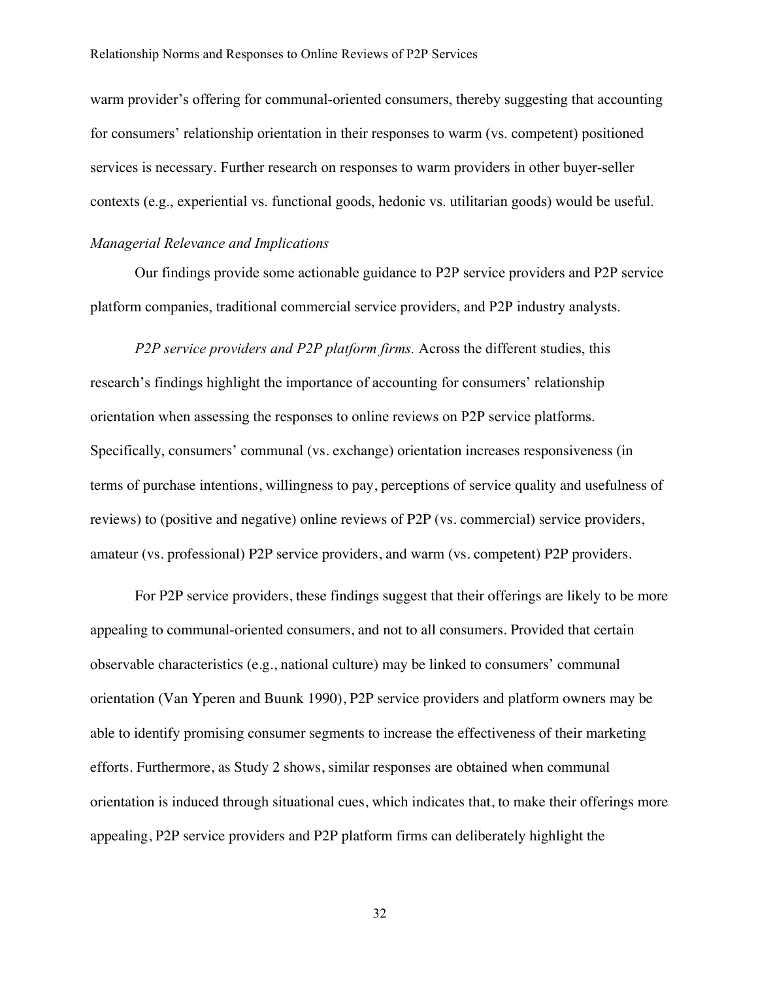warm provider's offering for communal-oriented consumers, thereby suggesting that accounting for consumers' relationship orientation in their responses to warm (vs. competent) positioned services is necessary. Further research on responses to warm providers in other buyer-seller contexts (e.g., experiential vs. functional goods, hedonic vs. utilitarian goods) would be useful.

#### *Managerial Relevance and Implications*

Our findings provide some actionable guidance to P2P service providers and P2P service platform companies, traditional commercial service providers, and P2P industry analysts.

*P2P service providers and P2P platform firms.* Across the different studies, this research's findings highlight the importance of accounting for consumers' relationship orientation when assessing the responses to online reviews on P2P service platforms. Specifically, consumers' communal (vs. exchange) orientation increases responsiveness (in terms of purchase intentions, willingness to pay, perceptions of service quality and usefulness of reviews) to (positive and negative) online reviews of P2P (vs. commercial) service providers, amateur (vs. professional) P2P service providers, and warm (vs. competent) P2P providers.

For P2P service providers, these findings suggest that their offerings are likely to be more appealing to communal-oriented consumers, and not to all consumers. Provided that certain observable characteristics (e.g., national culture) may be linked to consumers' communal orientation (Van Yperen and Buunk 1990), P2P service providers and platform owners may be able to identify promising consumer segments to increase the effectiveness of their marketing efforts. Furthermore, as Study 2 shows, similar responses are obtained when communal orientation is induced through situational cues, which indicates that, to make their offerings more appealing, P2P service providers and P2P platform firms can deliberately highlight the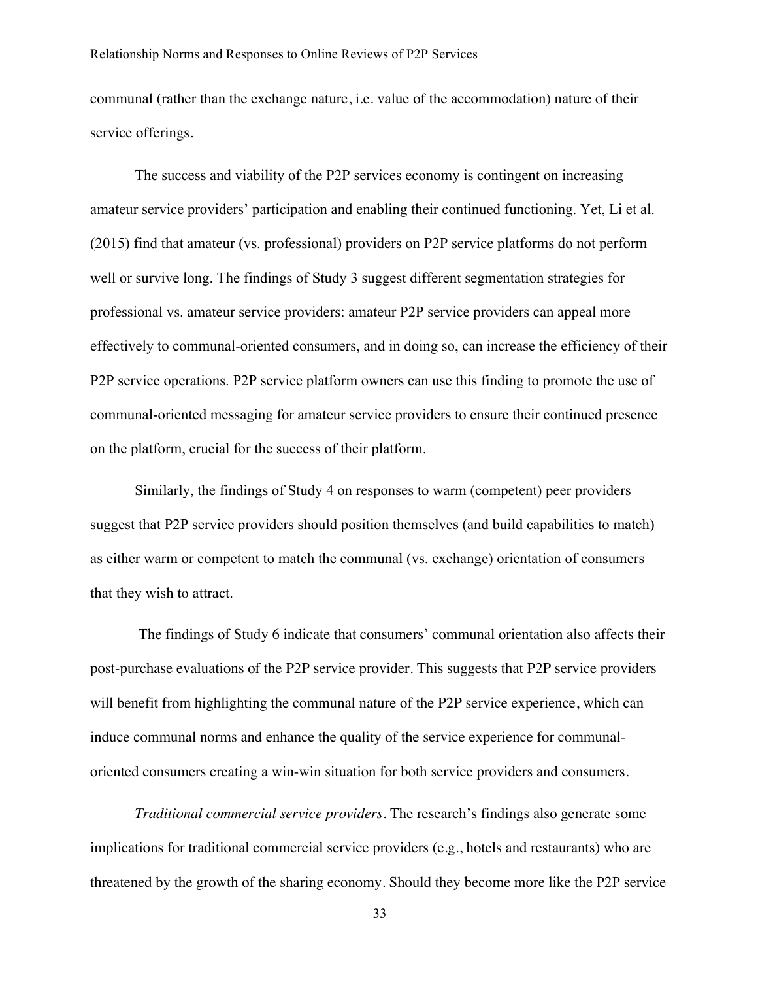communal (rather than the exchange nature, i.e. value of the accommodation) nature of their service offerings.

The success and viability of the P2P services economy is contingent on increasing amateur service providers' participation and enabling their continued functioning. Yet, Li et al. (2015) find that amateur (vs. professional) providers on P2P service platforms do not perform well or survive long. The findings of Study 3 suggest different segmentation strategies for professional vs. amateur service providers: amateur P2P service providers can appeal more effectively to communal-oriented consumers, and in doing so, can increase the efficiency of their P2P service operations. P2P service platform owners can use this finding to promote the use of communal-oriented messaging for amateur service providers to ensure their continued presence on the platform, crucial for the success of their platform.

Similarly, the findings of Study 4 on responses to warm (competent) peer providers suggest that P2P service providers should position themselves (and build capabilities to match) as either warm or competent to match the communal (vs. exchange) orientation of consumers that they wish to attract.

The findings of Study 6 indicate that consumers' communal orientation also affects their post-purchase evaluations of the P2P service provider. This suggests that P2P service providers will benefit from highlighting the communal nature of the P2P service experience, which can induce communal norms and enhance the quality of the service experience for communaloriented consumers creating a win-win situation for both service providers and consumers.

*Traditional commercial service providers.* The research's findings also generate some implications for traditional commercial service providers (e.g., hotels and restaurants) who are threatened by the growth of the sharing economy. Should they become more like the P2P service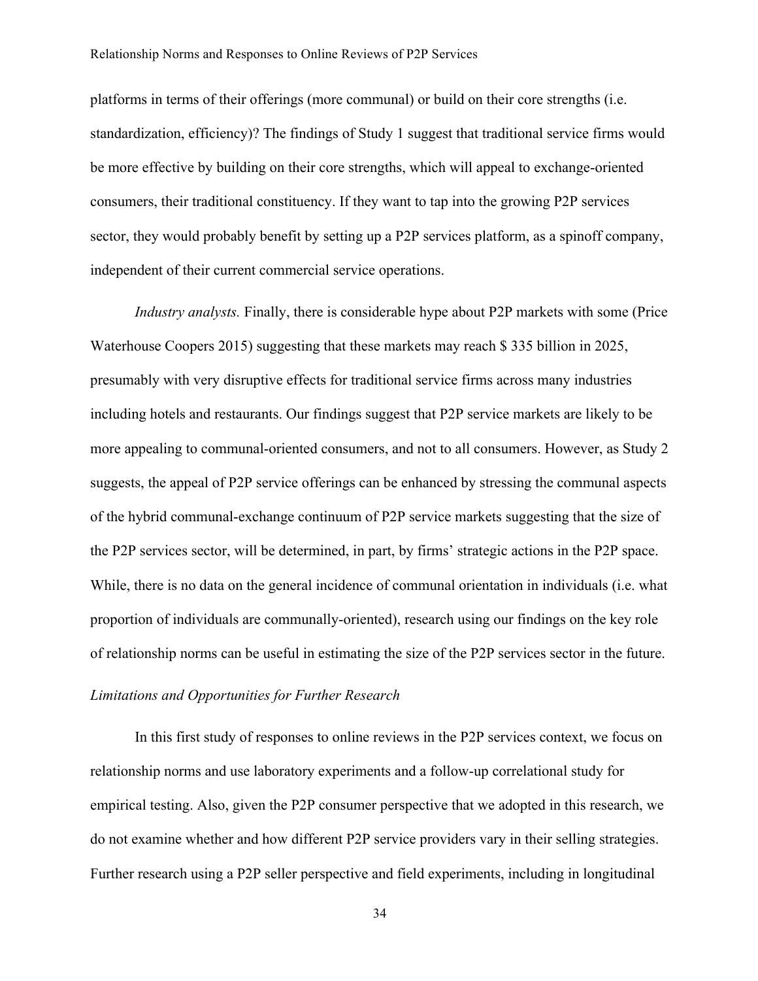platforms in terms of their offerings (more communal) or build on their core strengths (i.e. standardization, efficiency)? The findings of Study 1 suggest that traditional service firms would be more effective by building on their core strengths, which will appeal to exchange-oriented consumers, their traditional constituency. If they want to tap into the growing P2P services sector, they would probably benefit by setting up a P2P services platform, as a spinoff company, independent of their current commercial service operations.

*Industry analysts.* Finally, there is considerable hype about P2P markets with some (Price Waterhouse Coopers 2015) suggesting that these markets may reach \$ 335 billion in 2025, presumably with very disruptive effects for traditional service firms across many industries including hotels and restaurants. Our findings suggest that P2P service markets are likely to be more appealing to communal-oriented consumers, and not to all consumers. However, as Study 2 suggests, the appeal of P2P service offerings can be enhanced by stressing the communal aspects of the hybrid communal-exchange continuum of P2P service markets suggesting that the size of the P2P services sector, will be determined, in part, by firms' strategic actions in the P2P space. While, there is no data on the general incidence of communal orientation in individuals (i.e. what proportion of individuals are communally-oriented), research using our findings on the key role of relationship norms can be useful in estimating the size of the P2P services sector in the future.

# *Limitations and Opportunities for Further Research*

In this first study of responses to online reviews in the P2P services context, we focus on relationship norms and use laboratory experiments and a follow-up correlational study for empirical testing. Also, given the P2P consumer perspective that we adopted in this research, we do not examine whether and how different P2P service providers vary in their selling strategies. Further research using a P2P seller perspective and field experiments, including in longitudinal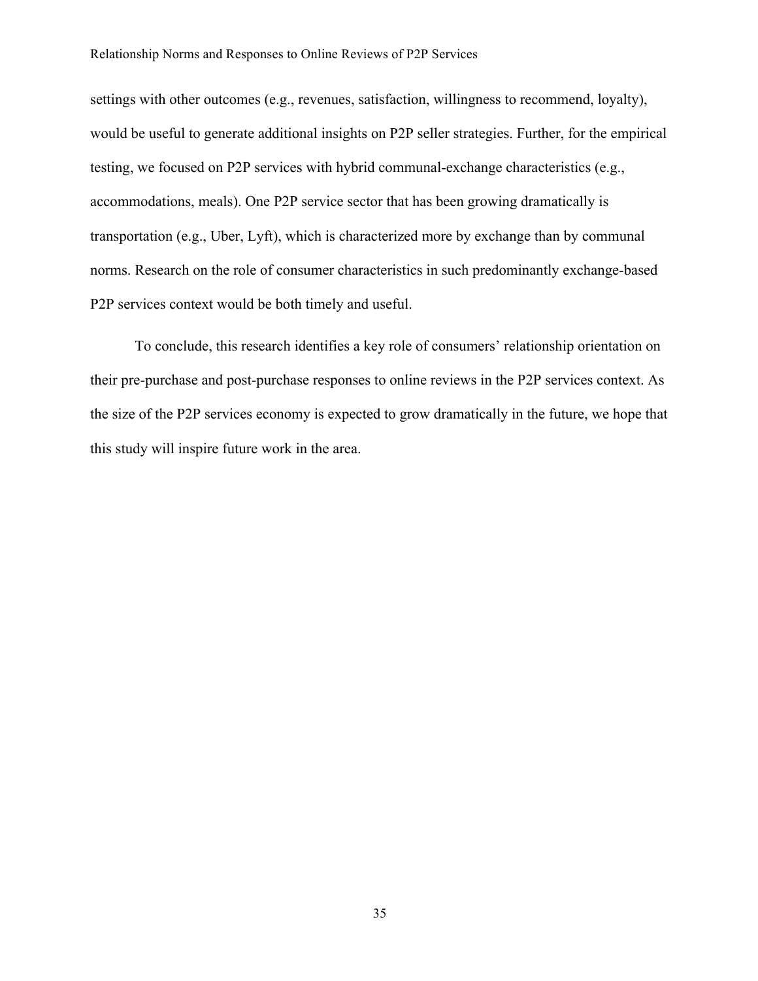settings with other outcomes (e.g., revenues, satisfaction, willingness to recommend, loyalty), would be useful to generate additional insights on P2P seller strategies. Further, for the empirical testing, we focused on P2P services with hybrid communal-exchange characteristics (e.g., accommodations, meals). One P2P service sector that has been growing dramatically is transportation (e.g., Uber, Lyft), which is characterized more by exchange than by communal norms. Research on the role of consumer characteristics in such predominantly exchange-based P2P services context would be both timely and useful.

To conclude, this research identifies a key role of consumers' relationship orientation on their pre-purchase and post-purchase responses to online reviews in the P2P services context. As the size of the P2P services economy is expected to grow dramatically in the future, we hope that this study will inspire future work in the area.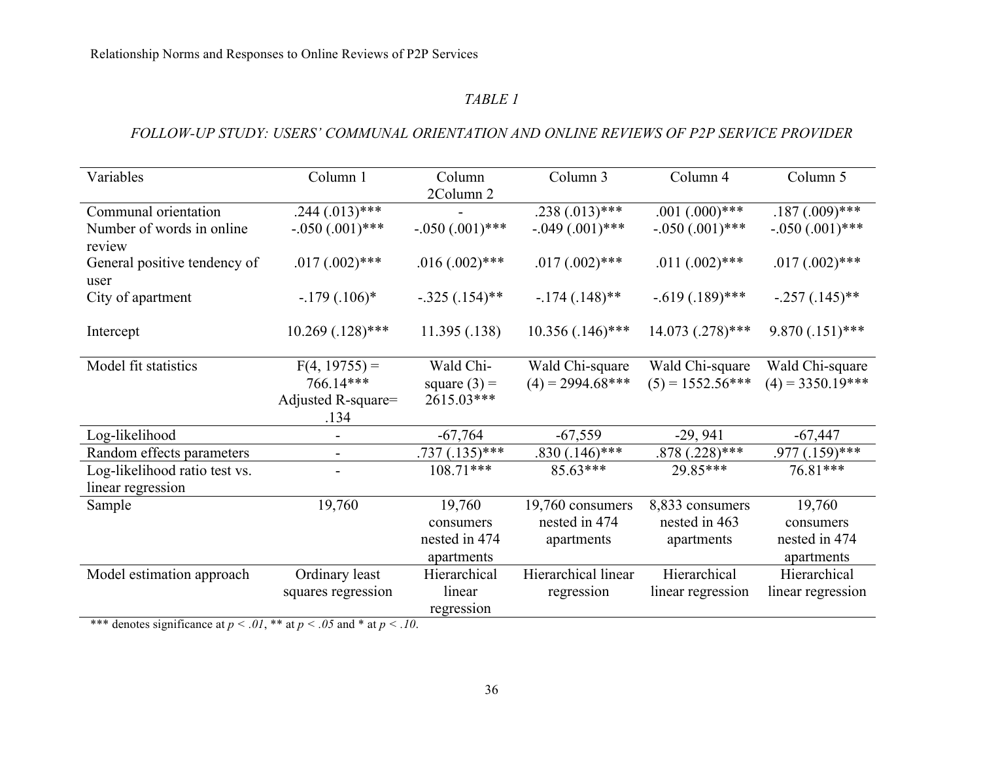# *TABLE 1*

# *FOLLOW-UP STUDY: USERS' COMMUNAL ORIENTATION AND ONLINE REVIEWS OF P2P SERVICE PROVIDER*

| Variables                                          | Column 1                             | Column                                             | Column 3                                        | Column 4                                       | Column 5                                           |
|----------------------------------------------------|--------------------------------------|----------------------------------------------------|-------------------------------------------------|------------------------------------------------|----------------------------------------------------|
|                                                    |                                      | 2Column 2                                          |                                                 |                                                |                                                    |
| Communal orientation                               | $.244(.013)$ ***                     |                                                    | .238 $(.013)$ ***                               | $.001(.000)$ ***                               | $.187(.009)$ ***                                   |
| Number of words in online<br>review                | $-.050(.001)$ ***                    | $-.050(.001)$ ***                                  | $-.049(.001)$ ***                               | $-.050(.001)$ ***                              | $-.050(.001)$ ***                                  |
| General positive tendency of<br>user               | $.017(.002)$ ***                     | $.016(.002)$ ***                                   | $.017(.002)$ ***                                | $.011(.002)$ ***                               | $.017(.002)$ ***                                   |
| City of apartment                                  | $-179(.106)$ *                       | $-.325(.154)$ **                                   | $-174$ $(0.148)$ **                             | $-.619(.189)$ ***                              | $-.257(.145)$ **                                   |
| Intercept                                          | $10.269$ (.128)***                   | 11.395(.138)                                       | $10.356(.146)$ ***                              | $14.073$ $(.278)$ ***                          | $9.870(.151)$ ***                                  |
| Model fit statistics                               | $F(4, 19755) =$<br>766.14***         | Wald Chi-<br>square $(3) =$                        | Wald Chi-square<br>$(4) = 2994.68$ ***          | Wald Chi-square<br>$(5) = 1552.56***$          | Wald Chi-square<br>$(4) = 3350.19***$              |
|                                                    | Adjusted R-square=<br>.134           | 2615.03***                                         |                                                 |                                                |                                                    |
| Log-likelihood                                     |                                      | $-67,764$                                          | $-67,559$                                       | $-29,941$                                      | $-67,447$                                          |
| Random effects parameters                          |                                      | $.737(.135)$ ***                                   | $.830(.146)$ ***                                | $.878(.228)$ ***                               | $.977(.159)$ ***                                   |
| Log-likelihood ratio test vs.<br>linear regression |                                      | $108.71***$                                        | $85.63***$                                      | 29.85***                                       | 76.81***                                           |
| Sample                                             | 19,760                               | 19,760<br>consumers<br>nested in 474<br>apartments | 19,760 consumers<br>nested in 474<br>apartments | 8,833 consumers<br>nested in 463<br>apartments | 19,760<br>consumers<br>nested in 474<br>apartments |
| Model estimation approach                          | Ordinary least<br>squares regression | Hierarchical<br>linear<br>regression               | Hierarchical linear<br>regression               | Hierarchical<br>linear regression              | Hierarchical<br>linear regression                  |

\*\*\* denotes significance at  $p < .01$ , \*\* at  $p < .05$  and \* at  $p < .10$ .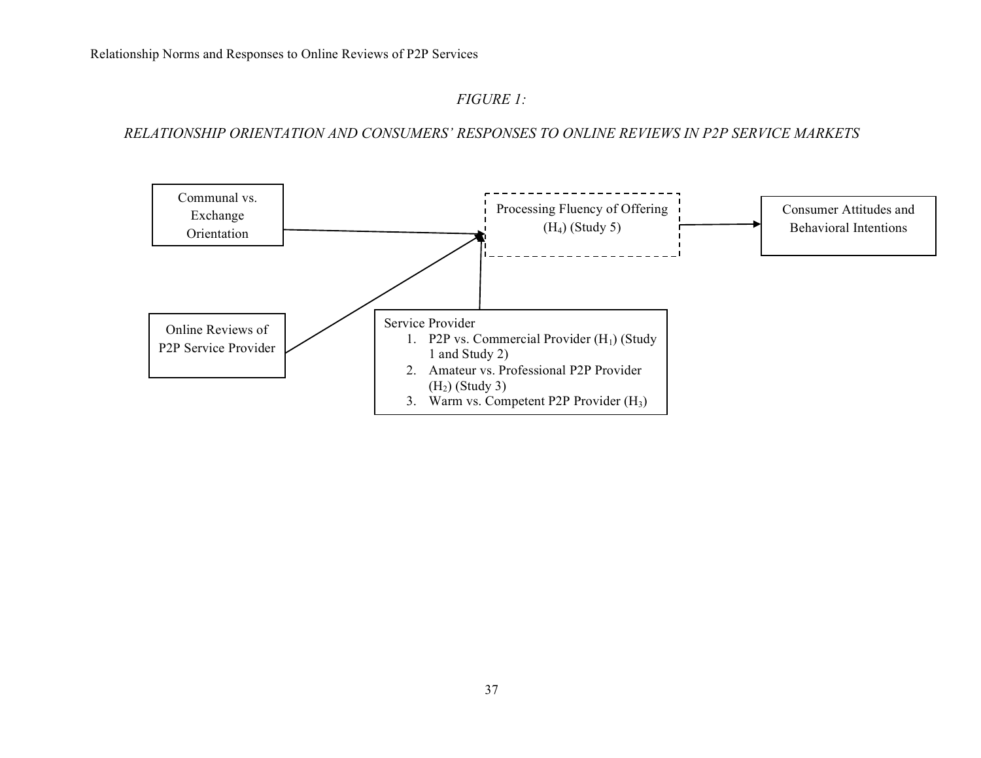# *FIGURE 1:*

*RELATIONSHIP ORIENTATION AND CONSUMERS' RESPONSES TO ONLINE REVIEWS IN P2P SERVICE MARKETS*

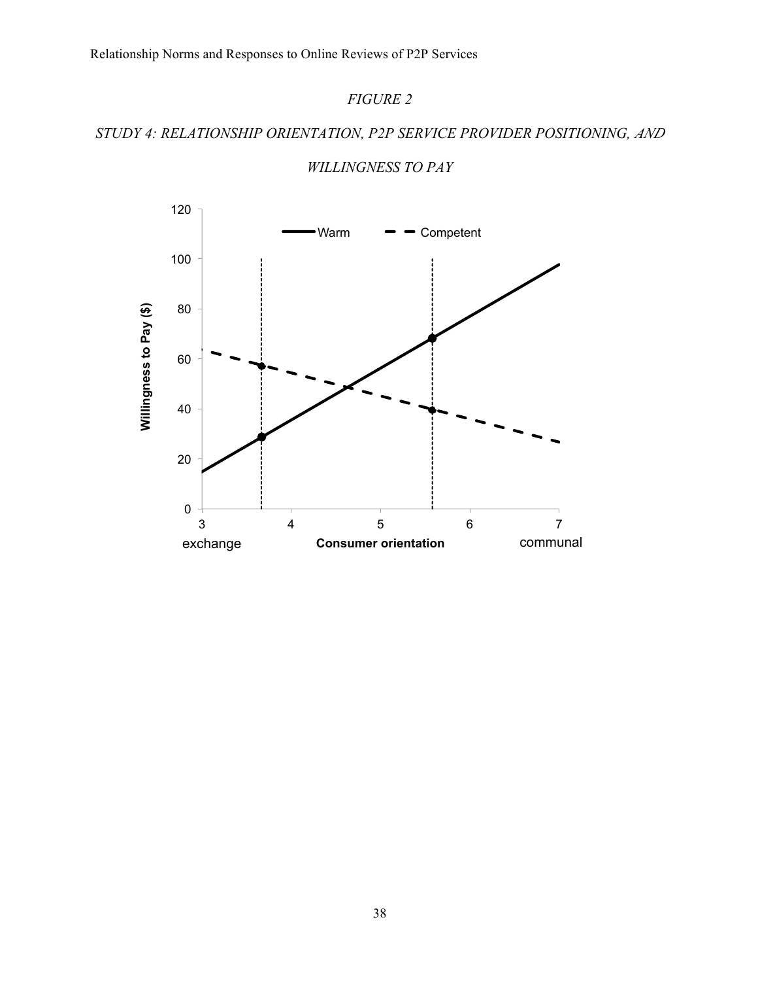# *FIGURE 2*

# *STUDY 4: RELATIONSHIP ORIENTATION, P2P SERVICE PROVIDER POSITIONING, AND*



# *WILLINGNESS TO PAY*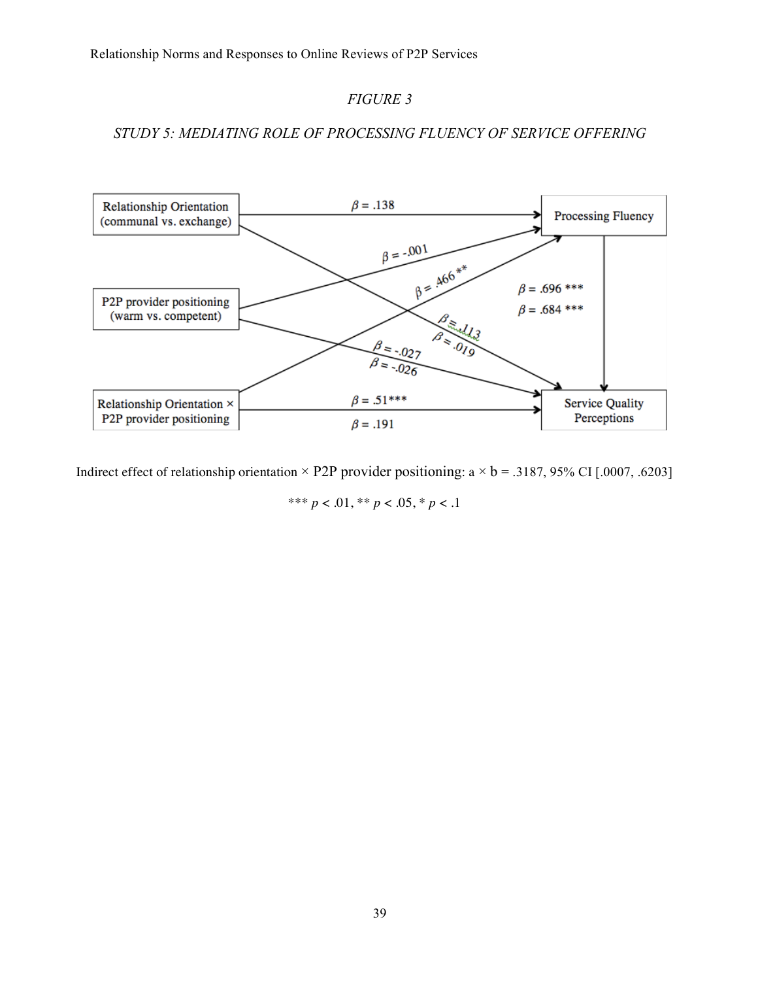# *FIGURE 3*

# *STUDY 5: MEDIATING ROLE OF PROCESSING FLUENCY OF SERVICE OFFERING*



Indirect effect of relationship orientation  $\times$  P2P provider positioning: a  $\times$  b = .3187, 95% CI [.0007, .6203]

\*\*\* *p* < .01, \*\* *p* < .05, \* *p* < .1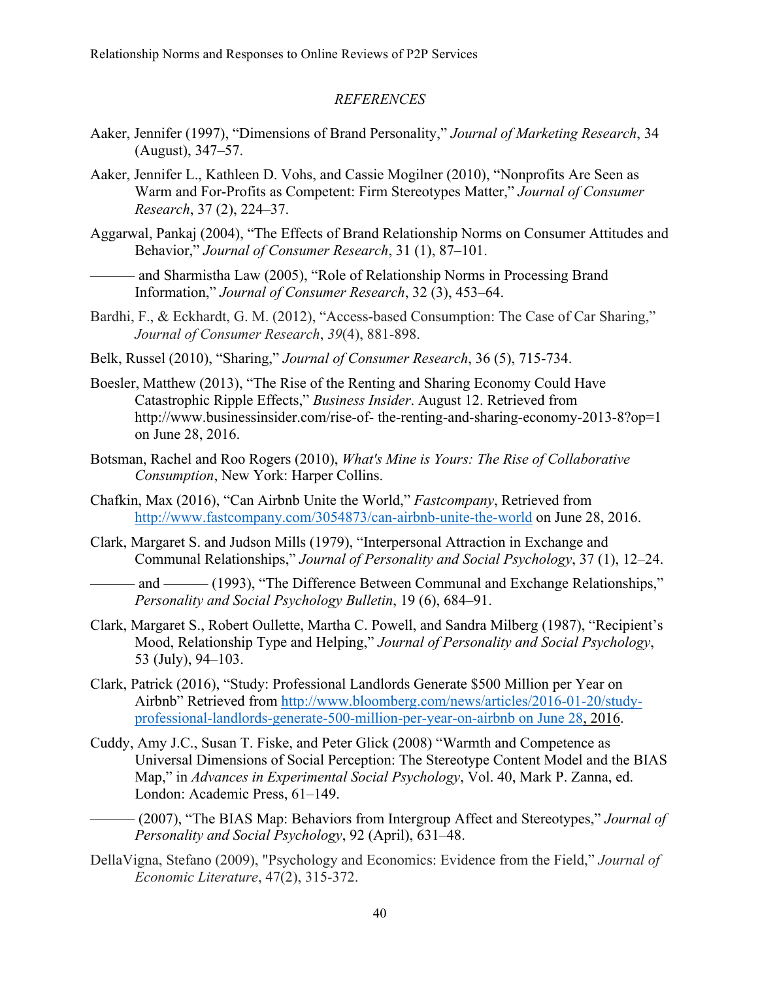#### *REFERENCES*

- Aaker, Jennifer (1997), "Dimensions of Brand Personality," *Journal of Marketing Research*, 34 (August), 347–57.
- Aaker, Jennifer L., Kathleen D. Vohs, and Cassie Mogilner (2010), "Nonprofits Are Seen as Warm and For-Profits as Competent: Firm Stereotypes Matter," *Journal of Consumer Research*, 37 (2), 224–37.
- Aggarwal, Pankaj (2004), "The Effects of Brand Relationship Norms on Consumer Attitudes and Behavior," *Journal of Consumer Research*, 31 (1), 87–101.
	- and Sharmistha Law (2005), "Role of Relationship Norms in Processing Brand Information," *Journal of Consumer Research*, 32 (3), 453–64.
- Bardhi, F., & Eckhardt, G. M. (2012), "Access-based Consumption: The Case of Car Sharing," *Journal of Consumer Research*, *39*(4), 881-898.
- Belk, Russel (2010), "Sharing," *Journal of Consumer Research*, 36 (5), 715-734.
- Boesler, Matthew (2013), "The Rise of the Renting and Sharing Economy Could Have Catastrophic Ripple Effects," *Business Insider*. August 12. Retrieved from http://www.businessinsider.com/rise-of- the-renting-and-sharing-economy-2013-8?op=1 on June 28, 2016.
- Botsman, Rachel and Roo Rogers (2010), *What's Mine is Yours: The Rise of Collaborative Consumption*, New York: Harper Collins.
- Chafkin, Max (2016), "Can Airbnb Unite the World," *Fastcompany*, Retrieved from http://www.fastcompany.com/3054873/can-airbnb-unite-the-world on June 28, 2016.
- Clark, Margaret S. and Judson Mills (1979), "Interpersonal Attraction in Exchange and Communal Relationships," *Journal of Personality and Social Psychology*, 37 (1), 12–24.
	- and ——— (1993), "The Difference Between Communal and Exchange Relationships," *Personality and Social Psychology Bulletin*, 19 (6), 684–91.
- Clark, Margaret S., Robert Oullette, Martha C. Powell, and Sandra Milberg (1987), "Recipient's Mood, Relationship Type and Helping," *Journal of Personality and Social Psychology*, 53 (July), 94–103.
- Clark, Patrick (2016), "Study: Professional Landlords Generate \$500 Million per Year on Airbnb" Retrieved from http://www.bloomberg.com/news/articles/2016-01-20/studyprofessional-landlords-generate-500-million-per-year-on-airbnb on June 28, 2016.
- Cuddy, Amy J.C., Susan T. Fiske, and Peter Glick (2008) "Warmth and Competence as Universal Dimensions of Social Perception: The Stereotype Content Model and the BIAS Map," in *Advances in Experimental Social Psychology*, Vol. 40, Mark P. Zanna, ed. London: Academic Press, 61–149.
- ——— (2007), "The BIAS Map: Behaviors from Intergroup Affect and Stereotypes," *Journal of Personality and Social Psychology*, 92 (April), 631–48.
- DellaVigna, Stefano (2009), "Psychology and Economics: Evidence from the Field," *Journal of Economic Literature*, 47(2), 315-372.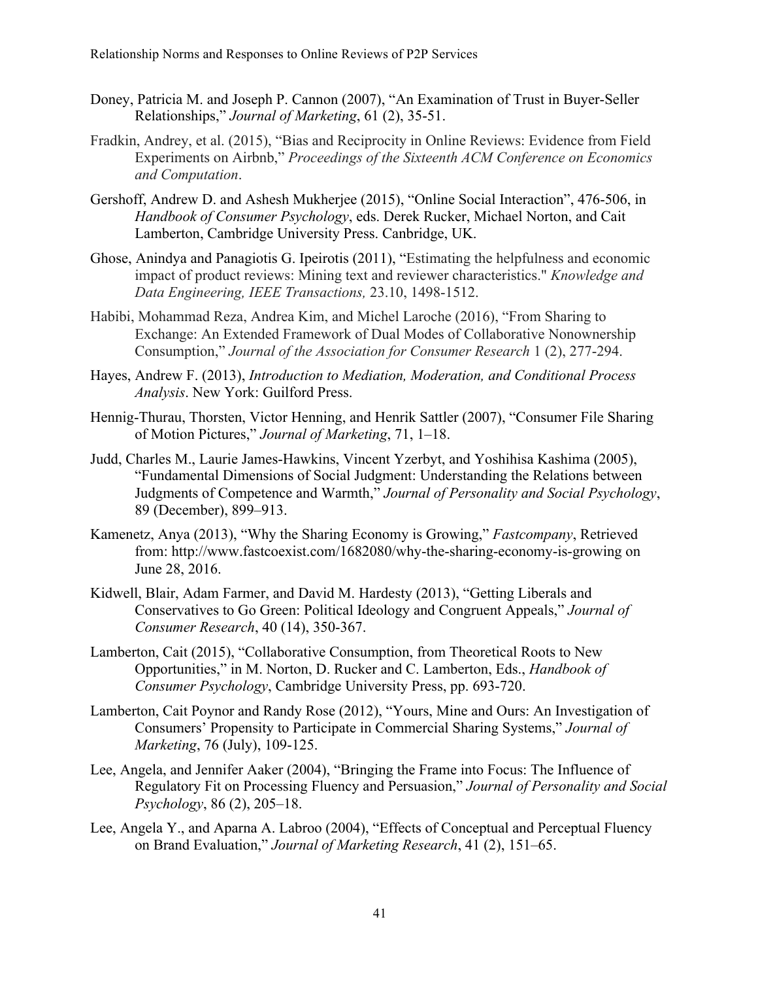- Doney, Patricia M. and Joseph P. Cannon (2007), "An Examination of Trust in Buyer-Seller Relationships," *Journal of Marketing*, 61 (2), 35-51.
- Fradkin, Andrey, et al. (2015), "Bias and Reciprocity in Online Reviews: Evidence from Field Experiments on Airbnb," *Proceedings of the Sixteenth ACM Conference on Economics and Computation*.
- Gershoff, Andrew D. and Ashesh Mukherjee (2015), "Online Social Interaction", 476-506, in *Handbook of Consumer Psychology*, eds. Derek Rucker, Michael Norton, and Cait Lamberton, Cambridge University Press. Canbridge, UK.
- Ghose, Anindya and Panagiotis G. Ipeirotis (2011), "Estimating the helpfulness and economic impact of product reviews: Mining text and reviewer characteristics." *Knowledge and Data Engineering, IEEE Transactions,* 23.10, 1498-1512.
- Habibi, Mohammad Reza, Andrea Kim, and Michel Laroche (2016), "From Sharing to Exchange: An Extended Framework of Dual Modes of Collaborative Nonownership Consumption," *Journal of the Association for Consumer Research* 1 (2), 277-294.
- Hayes, Andrew F. (2013), *Introduction to Mediation, Moderation, and Conditional Process Analysis*. New York: Guilford Press.
- Hennig-Thurau, Thorsten, Victor Henning, and Henrik Sattler (2007), "Consumer File Sharing of Motion Pictures," *Journal of Marketing*, 71, 1–18.
- Judd, Charles M., Laurie James-Hawkins, Vincent Yzerbyt, and Yoshihisa Kashima (2005), "Fundamental Dimensions of Social Judgment: Understanding the Relations between Judgments of Competence and Warmth," *Journal of Personality and Social Psychology*, 89 (December), 899–913.
- Kamenetz, Anya (2013), "Why the Sharing Economy is Growing," *Fastcompany*, Retrieved from: http://www.fastcoexist.com/1682080/why-the-sharing-economy-is-growing on June 28, 2016.
- Kidwell, Blair, Adam Farmer, and David M. Hardesty (2013), "Getting Liberals and Conservatives to Go Green: Political Ideology and Congruent Appeals," *Journal of Consumer Research*, 40 (14), 350-367.
- Lamberton, Cait (2015), "Collaborative Consumption, from Theoretical Roots to New Opportunities," in M. Norton, D. Rucker and C. Lamberton, Eds., *Handbook of Consumer Psychology*, Cambridge University Press, pp. 693-720.
- Lamberton, Cait Poynor and Randy Rose (2012), "Yours, Mine and Ours: An Investigation of Consumers' Propensity to Participate in Commercial Sharing Systems," *Journal of Marketing*, 76 (July), 109-125.
- Lee, Angela, and Jennifer Aaker (2004), "Bringing the Frame into Focus: The Influence of Regulatory Fit on Processing Fluency and Persuasion," *Journal of Personality and Social Psychology*, 86 (2), 205–18.
- Lee, Angela Y., and Aparna A. Labroo (2004), "Effects of Conceptual and Perceptual Fluency on Brand Evaluation," *Journal of Marketing Research*, 41 (2), 151–65.